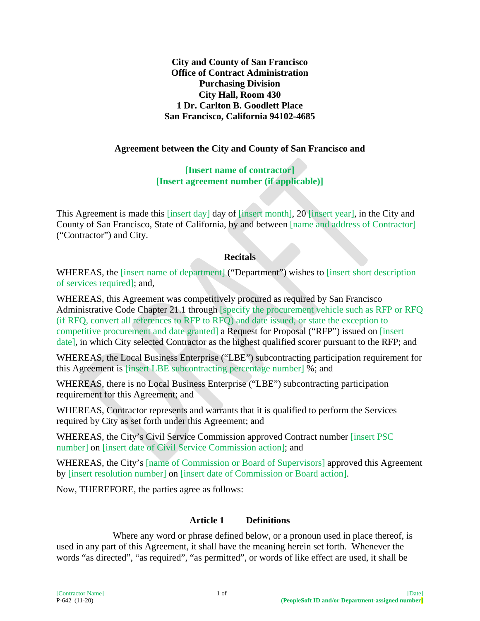**City and County of San Francisco Office of Contract Administration Purchasing Division City Hall, Room 430 1 Dr. Carlton B. Goodlett Place San Francisco, California 94102-4685**

#### **Agreement between the City and County of San Francisco and**

**[Insert name of contractor] [Insert agreement number (if applicable)]**

This Agreement is made this [insert day] day of [insert month], 20 [insert year], in the City and County of San Francisco, State of California, by and between [name and address of Contractor] ("Contractor") and City.

#### **Recitals**

WHEREAS, the [insert name of department] ("Department") wishes to [insert short description of services required]; and,

WHEREAS, this Agreement was competitively procured as required by San Francisco Administrative Code Chapter 21.1 through [specify the procurement vehicle such as RFP or RFQ (if RFQ, convert all references to RFP to RFQ) and date issued, or state the exception to competitive procurement and date granted] a Request for Proposal ("RFP") issued on [insert date], in which City selected Contractor as the highest qualified scorer pursuant to the RFP; and

WHEREAS, the Local Business Enterprise ("LBE") subcontracting participation requirement for this Agreement is [insert LBE subcontracting percentage number] %; and

WHEREAS, there is no Local Business Enterprise ("LBE") subcontracting participation requirement for this Agreement; and

WHEREAS, Contractor represents and warrants that it is qualified to perform the Services required by City as set forth under this Agreement; and

WHEREAS, the City's Civil Service Commission approved Contract number [insert PSC number] on [insert date of Civil Service Commission action]; and

WHEREAS, the City's [name of Commission or Board of Supervisors] approved this Agreement by [insert resolution number] on [insert date of Commission or Board action].

Now, THEREFORE, the parties agree as follows:

#### **Article 1 Definitions**

Where any word or phrase defined below, or a pronoun used in place thereof, is used in any part of this Agreement, it shall have the meaning herein set forth. Whenever the words "as directed", "as required", "as permitted", or words of like effect are used, it shall be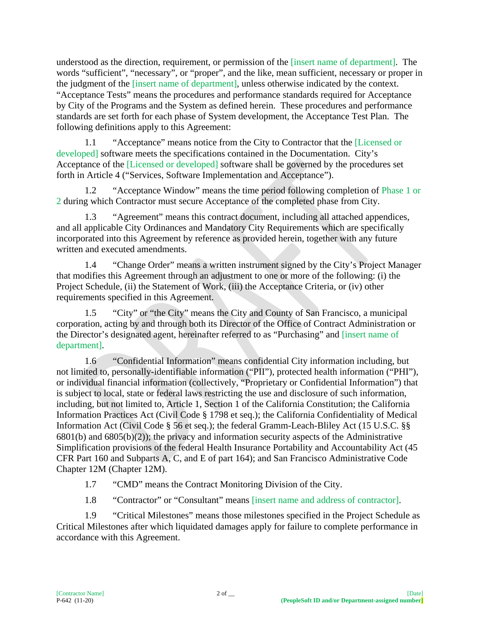understood as the direction, requirement, or permission of the [insert name of department]. The words "sufficient", "necessary", or "proper", and the like, mean sufficient, necessary or proper in the judgment of the [insert name of department], unless otherwise indicated by the context. "Acceptance Tests" means the procedures and performance standards required for Acceptance by City of the Programs and the System as defined herein. These procedures and performance standards are set forth for each phase of System development, the Acceptance Test Plan. The following definitions apply to this Agreement:

1.1 "Acceptance" means notice from the City to Contractor that the [Licensed or developed] software meets the specifications contained in the Documentation. City's Acceptance of the [Licensed or developed] software shall be governed by the procedures set forth in Article 4 ("Services, Software Implementation and Acceptance").

1.2 "Acceptance Window" means the time period following completion of Phase 1 or 2 during which Contractor must secure Acceptance of the completed phase from City.

1.3 "Agreement" means this contract document, including all attached appendices, and all applicable City Ordinances and Mandatory City Requirements which are specifically incorporated into this Agreement by reference as provided herein, together with any future written and executed amendments.

1.4 "Change Order" means a written instrument signed by the City's Project Manager that modifies this Agreement through an adjustment to one or more of the following: (i) the Project Schedule, (ii) the Statement of Work, (iii) the Acceptance Criteria, or (iv) other requirements specified in this Agreement.

1.5 "City" or "the City" means the City and County of San Francisco, a municipal corporation, acting by and through both its Director of the Office of Contract Administration or the Director's designated agent, hereinafter referred to as "Purchasing" and [insert name of department].

1.6 "Confidential Information" means confidential City information including, but not limited to, personally-identifiable information ("PII"), protected health information ("PHI"), or individual financial information (collectively, "Proprietary or Confidential Information") that is subject to local, state or federal laws restricting the use and disclosure of such information, including, but not limited to, Article 1, Section 1 of the California Constitution; the California Information Practices Act (Civil Code § 1798 et seq.); the California Confidentiality of Medical Information Act (Civil Code § 56 et seq.); the federal Gramm-Leach-Bliley Act (15 U.S.C. §§  $6801(b)$  and  $6805(b)(2)$ ; the privacy and information security aspects of the Administrative Simplification provisions of the federal Health Insurance Portability and Accountability Act (45 CFR Part 160 and Subparts A, C, and E of part 164); and San Francisco Administrative Code Chapter 12M (Chapter 12M).

1.7 "CMD" means the Contract Monitoring Division of the City.

1.8 "Contractor" or "Consultant" means [insert name and address of contractor].

1.9 "Critical Milestones" means those milestones specified in the Project Schedule as Critical Milestones after which liquidated damages apply for failure to complete performance in accordance with this Agreement.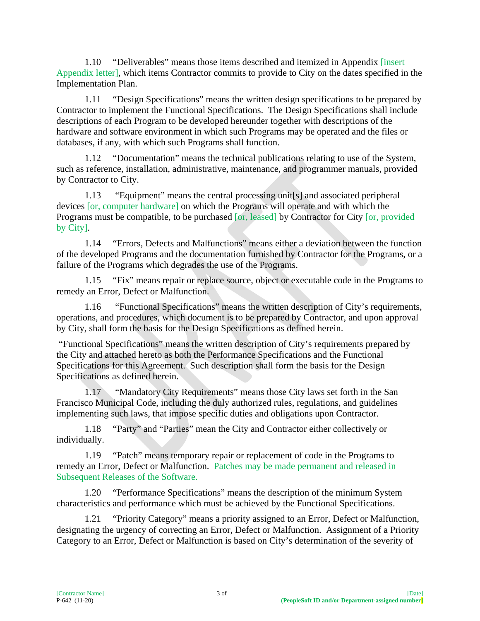1.10 "Deliverables" means those items described and itemized in Appendix [insert Appendix letter], which items Contractor commits to provide to City on the dates specified in the Implementation Plan.

1.11 "Design Specifications" means the written design specifications to be prepared by Contractor to implement the Functional Specifications. The Design Specifications shall include descriptions of each Program to be developed hereunder together with descriptions of the hardware and software environment in which such Programs may be operated and the files or databases, if any, with which such Programs shall function.

1.12 "Documentation" means the technical publications relating to use of the System, such as reference, installation, administrative, maintenance, and programmer manuals, provided by Contractor to City.

1.13 "Equipment" means the central processing unit[s] and associated peripheral devices [or, computer hardware] on which the Programs will operate and with which the Programs must be compatible, to be purchased [or, leased] by Contractor for City [or, provided by City].

1.14 "Errors, Defects and Malfunctions" means either a deviation between the function of the developed Programs and the documentation furnished by Contractor for the Programs, or a failure of the Programs which degrades the use of the Programs.

1.15 "Fix" means repair or replace source, object or executable code in the Programs to remedy an Error, Defect or Malfunction.

1.16 "Functional Specifications" means the written description of City's requirements, operations, and procedures, which document is to be prepared by Contractor, and upon approval by City, shall form the basis for the Design Specifications as defined herein.

"Functional Specifications" means the written description of City's requirements prepared by the City and attached hereto as both the Performance Specifications and the Functional Specifications for this Agreement. Such description shall form the basis for the Design Specifications as defined herein.

1.17 "Mandatory City Requirements" means those City laws set forth in the San Francisco Municipal Code, including the duly authorized rules, regulations, and guidelines implementing such laws, that impose specific duties and obligations upon Contractor.

1.18 "Party" and "Parties" mean the City and Contractor either collectively or individually.

1.19 "Patch" means temporary repair or replacement of code in the Programs to remedy an Error, Defect or Malfunction. Patches may be made permanent and released in Subsequent Releases of the Software.

1.20 "Performance Specifications" means the description of the minimum System characteristics and performance which must be achieved by the Functional Specifications.

1.21 "Priority Category" means a priority assigned to an Error, Defect or Malfunction, designating the urgency of correcting an Error, Defect or Malfunction. Assignment of a Priority Category to an Error, Defect or Malfunction is based on City's determination of the severity of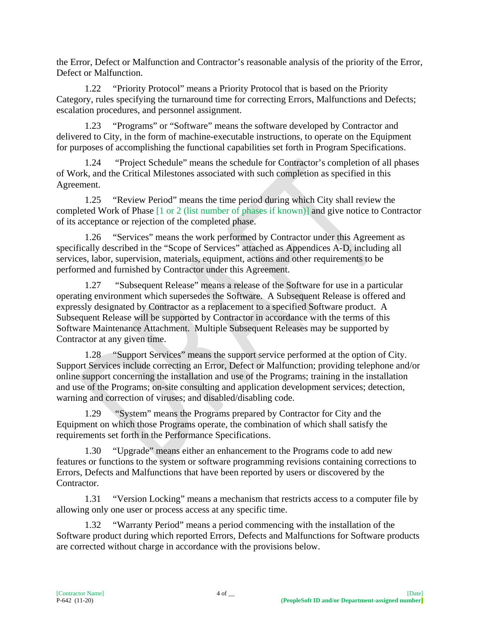the Error, Defect or Malfunction and Contractor's reasonable analysis of the priority of the Error, Defect or Malfunction.

1.22 "Priority Protocol" means a Priority Protocol that is based on the Priority Category, rules specifying the turnaround time for correcting Errors, Malfunctions and Defects; escalation procedures, and personnel assignment.

1.23 "Programs" or "Software" means the software developed by Contractor and delivered to City, in the form of machine-executable instructions, to operate on the Equipment for purposes of accomplishing the functional capabilities set forth in Program Specifications.

1.24 "Project Schedule" means the schedule for Contractor's completion of all phases of Work, and the Critical Milestones associated with such completion as specified in this Agreement.

1.25 "Review Period" means the time period during which City shall review the completed Work of Phase [1 or 2 (list number of phases if known)] and give notice to Contractor of its acceptance or rejection of the completed phase.

1.26 "Services" means the work performed by Contractor under this Agreement as specifically described in the "Scope of Services" attached as Appendices A-D, including all services, labor, supervision, materials, equipment, actions and other requirements to be performed and furnished by Contractor under this Agreement.

1.27 "Subsequent Release" means a release of the Software for use in a particular operating environment which supersedes the Software. A Subsequent Release is offered and expressly designated by Contractor as a replacement to a specified Software product. A Subsequent Release will be supported by Contractor in accordance with the terms of this Software Maintenance Attachment. Multiple Subsequent Releases may be supported by Contractor at any given time.

1.28 "Support Services" means the support service performed at the option of City. Support Services include correcting an Error, Defect or Malfunction; providing telephone and/or online support concerning the installation and use of the Programs; training in the installation and use of the Programs; on-site consulting and application development services; detection, warning and correction of viruses; and disabled/disabling code.

1.29 "System" means the Programs prepared by Contractor for City and the Equipment on which those Programs operate, the combination of which shall satisfy the requirements set forth in the Performance Specifications.

1.30 "Upgrade" means either an enhancement to the Programs code to add new features or functions to the system or software programming revisions containing corrections to Errors, Defects and Malfunctions that have been reported by users or discovered by the Contractor.

1.31 "Version Locking" means a mechanism that restricts access to a computer file by allowing only one user or process access at any specific time.

1.32 "Warranty Period" means a period commencing with the installation of the Software product during which reported Errors, Defects and Malfunctions for Software products are corrected without charge in accordance with the provisions below.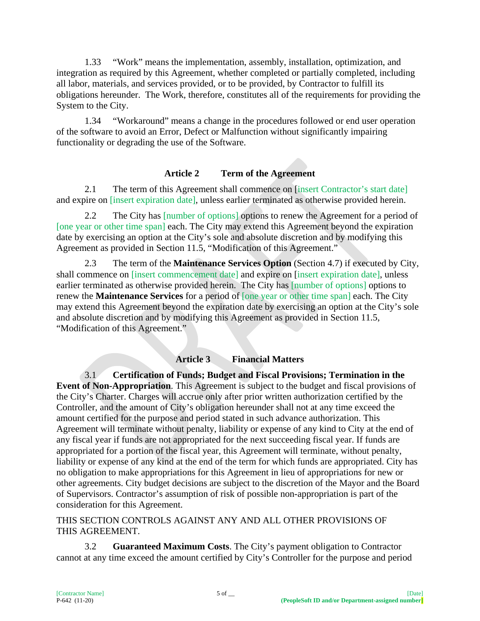1.33 "Work" means the implementation, assembly, installation, optimization, and integration as required by this Agreement, whether completed or partially completed, including all labor, materials, and services provided, or to be provided, by Contractor to fulfill its obligations hereunder. The Work, therefore, constitutes all of the requirements for providing the System to the City.

1.34 "Workaround" means a change in the procedures followed or end user operation of the software to avoid an Error, Defect or Malfunction without significantly impairing functionality or degrading the use of the Software.

## **Article 2 Term of the Agreement**

2.1 The term of this Agreement shall commence on [insert Contractor's start date] and expire on [insert expiration date], unless earlier terminated as otherwise provided herein.

2.2 The City has [number of options] options to renew the Agreement for a period of [one year or other time span] each. The City may extend this Agreement beyond the expiration date by exercising an option at the City's sole and absolute discretion and by modifying this Agreement as provided in Section 11.5, "Modification of this Agreement."

2.3 The term of the **Maintenance Services Option** (Section 4.7) if executed by City, shall commence on [insert commencement date] and expire on [insert expiration date], unless earlier terminated as otherwise provided herein. The City has [number of options] options to renew the **Maintenance Services** for a period of [one year or other time span] each. The City may extend this Agreement beyond the expiration date by exercising an option at the City's sole and absolute discretion and by modifying this Agreement as provided in Section 11.5, "Modification of this Agreement."

#### **Article 3 Financial Matters**

3.1 **Certification of Funds; Budget and Fiscal Provisions; Termination in the Event of Non-Appropriation**. This Agreement is subject to the budget and fiscal provisions of the City's Charter. Charges will accrue only after prior written authorization certified by the Controller, and the amount of City's obligation hereunder shall not at any time exceed the amount certified for the purpose and period stated in such advance authorization. This Agreement will terminate without penalty, liability or expense of any kind to City at the end of any fiscal year if funds are not appropriated for the next succeeding fiscal year. If funds are appropriated for a portion of the fiscal year, this Agreement will terminate, without penalty, liability or expense of any kind at the end of the term for which funds are appropriated. City has no obligation to make appropriations for this Agreement in lieu of appropriations for new or other agreements. City budget decisions are subject to the discretion of the Mayor and the Board of Supervisors. Contractor's assumption of risk of possible non-appropriation is part of the consideration for this Agreement.

THIS SECTION CONTROLS AGAINST ANY AND ALL OTHER PROVISIONS OF THIS AGREEMENT.

3.2 **Guaranteed Maximum Costs**. The City's payment obligation to Contractor cannot at any time exceed the amount certified by City's Controller for the purpose and period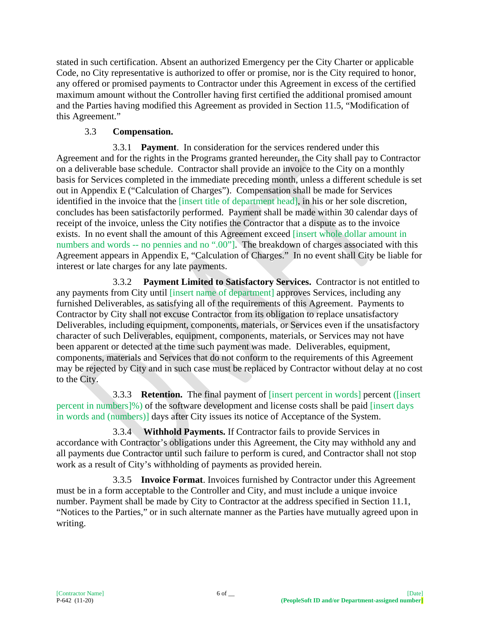stated in such certification. Absent an authorized Emergency per the City Charter or applicable Code, no City representative is authorized to offer or promise, nor is the City required to honor, any offered or promised payments to Contractor under this Agreement in excess of the certified maximum amount without the Controller having first certified the additional promised amount and the Parties having modified this Agreement as provided in Section 11.5, "Modification of this Agreement."

## 3.3 **Compensation.**

3.3.1 **Payment**. In consideration for the services rendered under this Agreement and for the rights in the Programs granted hereunder, the City shall pay to Contractor on a deliverable base schedule. Contractor shall provide an invoice to the City on a monthly basis for Services completed in the immediate preceding month, unless a different schedule is set out in Appendix E ("Calculation of Charges"). Compensation shall be made for Services identified in the invoice that the [insert title of department head], in his or her sole discretion, concludes has been satisfactorily performed. Payment shall be made within 30 calendar days of receipt of the invoice, unless the City notifies the Contractor that a dispute as to the invoice exists. In no event shall the amount of this Agreement exceed [insert whole dollar amount in numbers and words -- no pennies and no ".00"]. The breakdown of charges associated with this Agreement appears in Appendix E, "Calculation of Charges." In no event shall City be liable for interest or late charges for any late payments.

3.3.2 **Payment Limited to Satisfactory Services.** Contractor is not entitled to any payments from City until [insert name of department] approves Services, including any furnished Deliverables, as satisfying all of the requirements of this Agreement. Payments to Contractor by City shall not excuse Contractor from its obligation to replace unsatisfactory Deliverables, including equipment, components, materials, or Services even if the unsatisfactory character of such Deliverables, equipment, components, materials, or Services may not have been apparent or detected at the time such payment was made. Deliverables, equipment, components, materials and Services that do not conform to the requirements of this Agreement may be rejected by City and in such case must be replaced by Contractor without delay at no cost to the City.

3.3.3 **Retention.** The final payment of [insert percent in words] percent ([insert percent in numbers]%) of the software development and license costs shall be paid [insert days in words and (numbers)] days after City issues its notice of Acceptance of the System.

3.3.4 **Withhold Payments.** If Contractor fails to provide Services in accordance with Contractor's obligations under this Agreement, the City may withhold any and all payments due Contractor until such failure to perform is cured, and Contractor shall not stop work as a result of City's withholding of payments as provided herein.

3.3.5 **Invoice Format**. Invoices furnished by Contractor under this Agreement must be in a form acceptable to the Controller and City, and must include a unique invoice number. Payment shall be made by City to Contractor at the address specified in Section 11.1, "Notices to the Parties," or in such alternate manner as the Parties have mutually agreed upon in writing.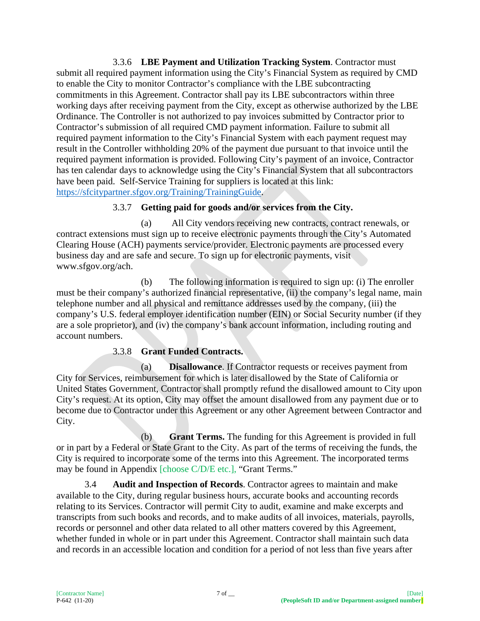3.3.6 **LBE Payment and Utilization Tracking System**. Contractor must submit all required payment information using the City's Financial System as required by CMD to enable the City to monitor Contractor's compliance with the LBE subcontracting commitments in this Agreement. Contractor shall pay its LBE subcontractors within three working days after receiving payment from the City, except as otherwise authorized by the LBE Ordinance. The Controller is not authorized to pay invoices submitted by Contractor prior to Contractor's submission of all required CMD payment information. Failure to submit all required payment information to the City's Financial System with each payment request may result in the Controller withholding 20% of the payment due pursuant to that invoice until the required payment information is provided. Following City's payment of an invoice, Contractor has ten calendar days to acknowledge using the City's Financial System that all subcontractors have been paid. Self-Service Training for suppliers is located at this link: [https://sfcitypartner.sfgov.org/Training/TrainingGuide.](https://sfcitypartner.sfgov.org/Training/TrainingGuide)

## 3.3.7 **Getting paid for goods and/or services from the City.**

(a) All City vendors receiving new contracts, contract renewals, or contract extensions must sign up to receive electronic payments through the City's Automated Clearing House (ACH) payments service/provider. Electronic payments are processed every business day and are safe and secure. To sign up for electronic payments, visit www.sfgov.org/ach.

(b) The following information is required to sign up: (i) The enroller must be their company's authorized financial representative, (ii) the company's legal name, main telephone number and all physical and remittance addresses used by the company, (iii) the company's U.S. federal employer identification number (EIN) or Social Security number (if they are a sole proprietor), and (iv) the company's bank account information, including routing and account numbers.

# 3.3.8 **Grant Funded Contracts.**

(a) **Disallowance**. If Contractor requests or receives payment from City for Services, reimbursement for which is later disallowed by the State of California or United States Government, Contractor shall promptly refund the disallowed amount to City upon City's request. At its option, City may offset the amount disallowed from any payment due or to become due to Contractor under this Agreement or any other Agreement between Contractor and City.

(b) **Grant Terms.** The funding for this Agreement is provided in full or in part by a Federal or State Grant to the City. As part of the terms of receiving the funds, the City is required to incorporate some of the terms into this Agreement. The incorporated terms may be found in Appendix [choose C/D/E etc.], "Grant Terms."

3.4 **Audit and Inspection of Records**. Contractor agrees to maintain and make available to the City, during regular business hours, accurate books and accounting records relating to its Services. Contractor will permit City to audit, examine and make excerpts and transcripts from such books and records, and to make audits of all invoices, materials, payrolls, records or personnel and other data related to all other matters covered by this Agreement, whether funded in whole or in part under this Agreement. Contractor shall maintain such data and records in an accessible location and condition for a period of not less than five years after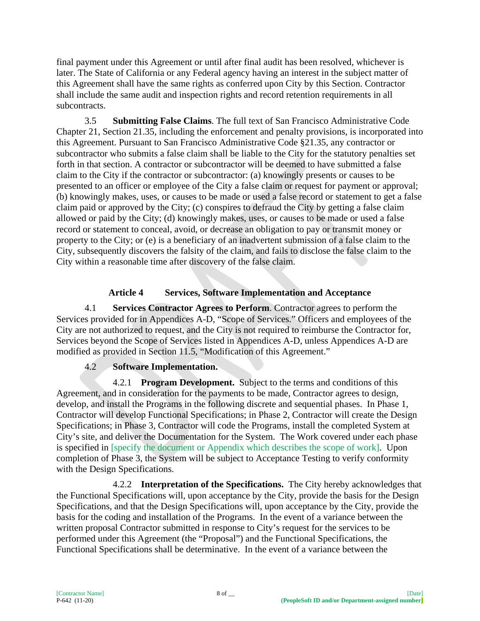final payment under this Agreement or until after final audit has been resolved, whichever is later. The State of California or any Federal agency having an interest in the subject matter of this Agreement shall have the same rights as conferred upon City by this Section. Contractor shall include the same audit and inspection rights and record retention requirements in all subcontracts.

3.5 **Submitting False Claims**. The full text of San Francisco Administrative Code Chapter 21, Section 21.35, including the enforcement and penalty provisions, is incorporated into this Agreement. Pursuant to San Francisco Administrative Code §21.35, any contractor or subcontractor who submits a false claim shall be liable to the City for the statutory penalties set forth in that section. A contractor or subcontractor will be deemed to have submitted a false claim to the City if the contractor or subcontractor: (a) knowingly presents or causes to be presented to an officer or employee of the City a false claim or request for payment or approval; (b) knowingly makes, uses, or causes to be made or used a false record or statement to get a false claim paid or approved by the City; (c) conspires to defraud the City by getting a false claim allowed or paid by the City; (d) knowingly makes, uses, or causes to be made or used a false record or statement to conceal, avoid, or decrease an obligation to pay or transmit money or property to the City; or (e) is a beneficiary of an inadvertent submission of a false claim to the City, subsequently discovers the falsity of the claim, and fails to disclose the false claim to the City within a reasonable time after discovery of the false claim.

# **Article 4 Services, Software Implementation and Acceptance**

4.1 **Services Contractor Agrees to Perform**. Contractor agrees to perform the Services provided for in Appendices A-D, "Scope of Services." Officers and employees of the City are not authorized to request, and the City is not required to reimburse the Contractor for, Services beyond the Scope of Services listed in Appendices A-D, unless Appendices A-D are modified as provided in Section 11.5, "Modification of this Agreement."

# 4.2 **Software Implementation.**

4.2.1 **Program Development.** Subject to the terms and conditions of this Agreement, and in consideration for the payments to be made, Contractor agrees to design, develop, and install the Programs in the following discrete and sequential phases. In Phase 1, Contractor will develop Functional Specifications; in Phase 2, Contractor will create the Design Specifications; in Phase 3, Contractor will code the Programs, install the completed System at City's site, and deliver the Documentation for the System. The Work covered under each phase is specified in [specify the document or Appendix which describes the scope of work]. Upon completion of Phase 3, the System will be subject to Acceptance Testing to verify conformity with the Design Specifications.

4.2.2 **Interpretation of the Specifications.** The City hereby acknowledges that the Functional Specifications will, upon acceptance by the City, provide the basis for the Design Specifications, and that the Design Specifications will, upon acceptance by the City, provide the basis for the coding and installation of the Programs. In the event of a variance between the written proposal Contractor submitted in response to City's request for the services to be performed under this Agreement (the "Proposal") and the Functional Specifications, the Functional Specifications shall be determinative. In the event of a variance between the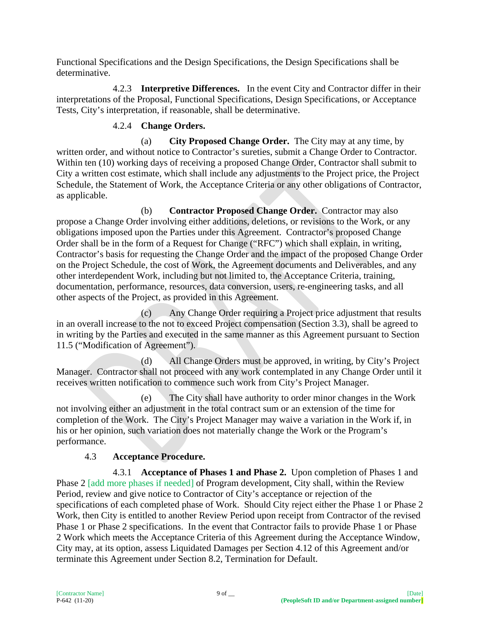Functional Specifications and the Design Specifications, the Design Specifications shall be determinative.

4.2.3 **Interpretive Differences.** In the event City and Contractor differ in their interpretations of the Proposal, Functional Specifications, Design Specifications, or Acceptance Tests, City's interpretation, if reasonable, shall be determinative.

# 4.2.4 **Change Orders.**

(a) **City Proposed Change Order.** The City may at any time, by written order, and without notice to Contractor's sureties, submit a Change Order to Contractor. Within ten (10) working days of receiving a proposed Change Order, Contractor shall submit to City a written cost estimate, which shall include any adjustments to the Project price, the Project Schedule, the Statement of Work, the Acceptance Criteria or any other obligations of Contractor, as applicable.

(b) **Contractor Proposed Change Order.** Contractor may also propose a Change Order involving either additions, deletions, or revisions to the Work, or any obligations imposed upon the Parties under this Agreement. Contractor's proposed Change Order shall be in the form of a Request for Change ("RFC") which shall explain, in writing, Contractor's basis for requesting the Change Order and the impact of the proposed Change Order on the Project Schedule, the cost of Work, the Agreement documents and Deliverables, and any other interdependent Work, including but not limited to, the Acceptance Criteria, training, documentation, performance, resources, data conversion, users, re-engineering tasks, and all other aspects of the Project, as provided in this Agreement.

(c) Any Change Order requiring a Project price adjustment that results in an overall increase to the not to exceed Project compensation (Section 3.3), shall be agreed to in writing by the Parties and executed in the same manner as this Agreement pursuant to Section 11.5 ("Modification of Agreement").

(d) All Change Orders must be approved, in writing, by City's Project Manager. Contractor shall not proceed with any work contemplated in any Change Order until it receives written notification to commence such work from City's Project Manager.

(e) The City shall have authority to order minor changes in the Work not involving either an adjustment in the total contract sum or an extension of the time for completion of the Work. The City's Project Manager may waive a variation in the Work if, in his or her opinion, such variation does not materially change the Work or the Program's performance.

# 4.3 **Acceptance Procedure.**

4.3.1 **Acceptance of Phases 1 and Phase 2.** Upon completion of Phases 1 and Phase 2 [add more phases if needed] of Program development, City shall, within the Review Period, review and give notice to Contractor of City's acceptance or rejection of the specifications of each completed phase of Work. Should City reject either the Phase 1 or Phase 2 Work, then City is entitled to another Review Period upon receipt from Contractor of the revised Phase 1 or Phase 2 specifications. In the event that Contractor fails to provide Phase 1 or Phase 2 Work which meets the Acceptance Criteria of this Agreement during the Acceptance Window, City may, at its option, assess Liquidated Damages per Section 4.12 of this Agreement and/or terminate this Agreement under Section 8.2, Termination for Default.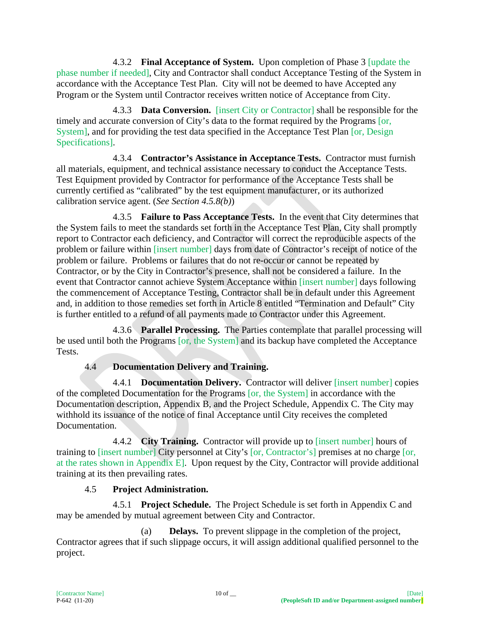4.3.2 **Final Acceptance of System.** Upon completion of Phase 3 [update the phase number if needed], City and Contractor shall conduct Acceptance Testing of the System in accordance with the Acceptance Test Plan. City will not be deemed to have Accepted any Program or the System until Contractor receives written notice of Acceptance from City.

4.3.3 **Data Conversion.** [insert City or Contractor] shall be responsible for the timely and accurate conversion of City's data to the format required by the Programs [or, System], and for providing the test data specified in the Acceptance Test Plan [or, Design Specifications].

4.3.4 **Contractor's Assistance in Acceptance Tests.** Contractor must furnish all materials, equipment, and technical assistance necessary to conduct the Acceptance Tests. Test Equipment provided by Contractor for performance of the Acceptance Tests shall be currently certified as "calibrated" by the test equipment manufacturer, or its authorized calibration service agent. (*See Section 4.5.8(b)*)

4.3.5 **Failure to Pass Acceptance Tests.** In the event that City determines that the System fails to meet the standards set forth in the Acceptance Test Plan, City shall promptly report to Contractor each deficiency, and Contractor will correct the reproducible aspects of the problem or failure within [insert number] days from date of Contractor's receipt of notice of the problem or failure. Problems or failures that do not re-occur or cannot be repeated by Contractor, or by the City in Contractor's presence, shall not be considered a failure. In the event that Contractor cannot achieve System Acceptance within [insert number] days following the commencement of Acceptance Testing, Contractor shall be in default under this Agreement and, in addition to those remedies set forth in Article 8 entitled "Termination and Default" City is further entitled to a refund of all payments made to Contractor under this Agreement.

4.3.6 **Parallel Processing.** The Parties contemplate that parallel processing will be used until both the Programs [or, the System] and its backup have completed the Acceptance Tests.

# 4.4 **Documentation Delivery and Training.**

4.4.1 **Documentation Delivery.** Contractor will deliver [insert number] copies of the completed Documentation for the Programs [or, the System] in accordance with the Documentation description, Appendix B, and the Project Schedule, Appendix C. The City may withhold its issuance of the notice of final Acceptance until City receives the completed Documentation.

4.4.2 **City Training.** Contractor will provide up to [insert number] hours of training to [insert number] City personnel at City's [or, Contractor's] premises at no charge [or, at the rates shown in Appendix E]. Upon request by the City, Contractor will provide additional training at its then prevailing rates.

# 4.5 **Project Administration.**

4.5.1 **Project Schedule.** The Project Schedule is set forth in Appendix C and may be amended by mutual agreement between City and Contractor.

(a) **Delays.** To prevent slippage in the completion of the project, Contractor agrees that if such slippage occurs, it will assign additional qualified personnel to the project.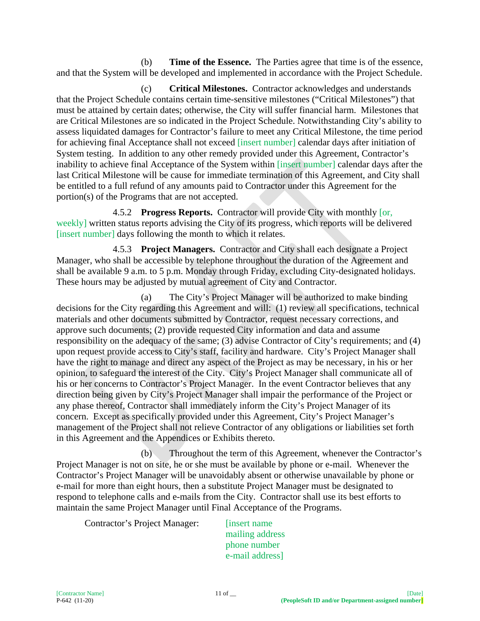(b) **Time of the Essence.** The Parties agree that time is of the essence, and that the System will be developed and implemented in accordance with the Project Schedule.

(c) **Critical Milestones.** Contractor acknowledges and understands that the Project Schedule contains certain time-sensitive milestones ("Critical Milestones") that must be attained by certain dates; otherwise, the City will suffer financial harm. Milestones that are Critical Milestones are so indicated in the Project Schedule. Notwithstanding City's ability to assess liquidated damages for Contractor's failure to meet any Critical Milestone, the time period for achieving final Acceptance shall not exceed [insert number] calendar days after initiation of System testing. In addition to any other remedy provided under this Agreement, Contractor's inability to achieve final Acceptance of the System within [insert number] calendar days after the last Critical Milestone will be cause for immediate termination of this Agreement, and City shall be entitled to a full refund of any amounts paid to Contractor under this Agreement for the portion(s) of the Programs that are not accepted.

4.5.2 **Progress Reports.** Contractor will provide City with monthly [or, weekly] written status reports advising the City of its progress, which reports will be delivered [insert number] days following the month to which it relates.

4.5.3 **Project Managers.** Contractor and City shall each designate a Project Manager, who shall be accessible by telephone throughout the duration of the Agreement and shall be available 9 a.m. to 5 p.m. Monday through Friday, excluding City-designated holidays. These hours may be adjusted by mutual agreement of City and Contractor.

(a) The City's Project Manager will be authorized to make binding decisions for the City regarding this Agreement and will: (1) review all specifications, technical materials and other documents submitted by Contractor, request necessary corrections, and approve such documents; (2) provide requested City information and data and assume responsibility on the adequacy of the same; (3) advise Contractor of City's requirements; and (4) upon request provide access to City's staff, facility and hardware. City's Project Manager shall have the right to manage and direct any aspect of the Project as may be necessary, in his or her opinion, to safeguard the interest of the City. City's Project Manager shall communicate all of his or her concerns to Contractor's Project Manager. In the event Contractor believes that any direction being given by City's Project Manager shall impair the performance of the Project or any phase thereof, Contractor shall immediately inform the City's Project Manager of its concern. Except as specifically provided under this Agreement, City's Project Manager's management of the Project shall not relieve Contractor of any obligations or liabilities set forth in this Agreement and the Appendices or Exhibits thereto.

(b) Throughout the term of this Agreement, whenever the Contractor's Project Manager is not on site, he or she must be available by phone or e-mail. Whenever the Contractor's Project Manager will be unavoidably absent or otherwise unavailable by phone or e-mail for more than eight hours, then a substitute Project Manager must be designated to respond to telephone calls and e-mails from the City. Contractor shall use its best efforts to maintain the same Project Manager until Final Acceptance of the Programs.

Contractor's Project Manager: [insert name]

mailing address phone number e-mail address]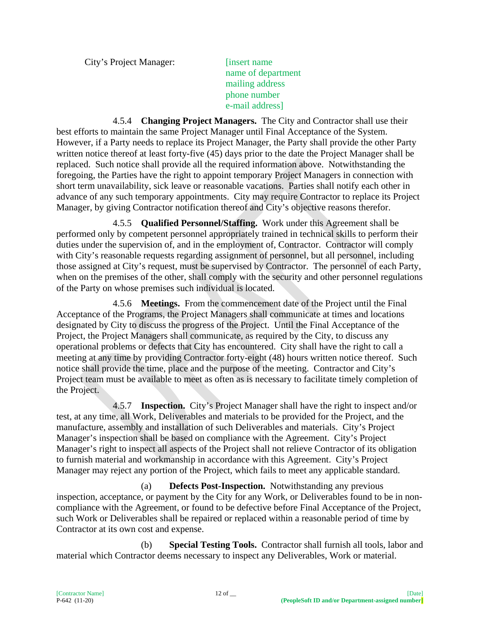City's Project Manager: [insert name]

name of department mailing address phone number e-mail address]

4.5.4 **Changing Project Managers.** The City and Contractor shall use their best efforts to maintain the same Project Manager until Final Acceptance of the System. However, if a Party needs to replace its Project Manager, the Party shall provide the other Party written notice thereof at least forty-five (45) days prior to the date the Project Manager shall be replaced. Such notice shall provide all the required information above. Notwithstanding the foregoing, the Parties have the right to appoint temporary Project Managers in connection with short term unavailability, sick leave or reasonable vacations. Parties shall notify each other in advance of any such temporary appointments. City may require Contractor to replace its Project Manager, by giving Contractor notification thereof and City's objective reasons therefor.

4.5.5 **Qualified Personnel/Staffing.** Work under this Agreement shall be performed only by competent personnel appropriately trained in technical skills to perform their duties under the supervision of, and in the employment of, Contractor. Contractor will comply with City's reasonable requests regarding assignment of personnel, but all personnel, including those assigned at City's request, must be supervised by Contractor. The personnel of each Party, when on the premises of the other, shall comply with the security and other personnel regulations of the Party on whose premises such individual is located.

4.5.6 **Meetings.** From the commencement date of the Project until the Final Acceptance of the Programs, the Project Managers shall communicate at times and locations designated by City to discuss the progress of the Project. Until the Final Acceptance of the Project, the Project Managers shall communicate, as required by the City, to discuss any operational problems or defects that City has encountered. City shall have the right to call a meeting at any time by providing Contractor forty-eight (48) hours written notice thereof. Such notice shall provide the time, place and the purpose of the meeting. Contractor and City's Project team must be available to meet as often as is necessary to facilitate timely completion of the Project.

4.5.7 **Inspection.** City's Project Manager shall have the right to inspect and/or test, at any time, all Work, Deliverables and materials to be provided for the Project, and the manufacture, assembly and installation of such Deliverables and materials. City's Project Manager's inspection shall be based on compliance with the Agreement. City's Project Manager's right to inspect all aspects of the Project shall not relieve Contractor of its obligation to furnish material and workmanship in accordance with this Agreement. City's Project Manager may reject any portion of the Project, which fails to meet any applicable standard.

(a) **Defects Post-Inspection.** Notwithstanding any previous inspection, acceptance, or payment by the City for any Work, or Deliverables found to be in noncompliance with the Agreement, or found to be defective before Final Acceptance of the Project, such Work or Deliverables shall be repaired or replaced within a reasonable period of time by Contractor at its own cost and expense.

(b) **Special Testing Tools.** Contractor shall furnish all tools, labor and material which Contractor deems necessary to inspect any Deliverables, Work or material.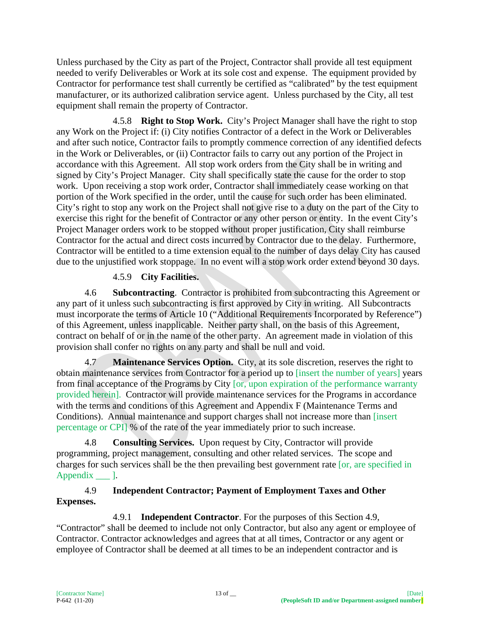Unless purchased by the City as part of the Project, Contractor shall provide all test equipment needed to verify Deliverables or Work at its sole cost and expense. The equipment provided by Contractor for performance test shall currently be certified as "calibrated" by the test equipment manufacturer, or its authorized calibration service agent. Unless purchased by the City, all test equipment shall remain the property of Contractor.

4.5.8 **Right to Stop Work.** City's Project Manager shall have the right to stop any Work on the Project if: (i) City notifies Contractor of a defect in the Work or Deliverables and after such notice, Contractor fails to promptly commence correction of any identified defects in the Work or Deliverables, or (ii) Contractor fails to carry out any portion of the Project in accordance with this Agreement. All stop work orders from the City shall be in writing and signed by City's Project Manager. City shall specifically state the cause for the order to stop work. Upon receiving a stop work order, Contractor shall immediately cease working on that portion of the Work specified in the order, until the cause for such order has been eliminated. City's right to stop any work on the Project shall not give rise to a duty on the part of the City to exercise this right for the benefit of Contractor or any other person or entity. In the event City's Project Manager orders work to be stopped without proper justification, City shall reimburse Contractor for the actual and direct costs incurred by Contractor due to the delay. Furthermore, Contractor will be entitled to a time extension equal to the number of days delay City has caused due to the unjustified work stoppage. In no event will a stop work order extend beyond 30 days.

# 4.5.9 **City Facilities.**

4.6 **Subcontracting**. Contractor is prohibited from subcontracting this Agreement or any part of it unless such subcontracting is first approved by City in writing. All Subcontracts must incorporate the terms of Article 10 ("Additional Requirements Incorporated by Reference") of this Agreement, unless inapplicable. Neither party shall, on the basis of this Agreement, contract on behalf of or in the name of the other party. An agreement made in violation of this provision shall confer no rights on any party and shall be null and void.

4.7 **Maintenance Services Option.** City, at its sole discretion, reserves the right to obtain maintenance services from Contractor for a period up to [insert the number of years] years from final acceptance of the Programs by City [or, upon expiration of the performance warranty provided herein]. Contractor will provide maintenance services for the Programs in accordance with the terms and conditions of this Agreement and Appendix F (Maintenance Terms and Conditions). Annual maintenance and support charges shall not increase more than [insert percentage or CPI] % of the rate of the year immediately prior to such increase.

4.8 **Consulting Services.** Upon request by City, Contractor will provide programming, project management, consulting and other related services. The scope and charges for such services shall be the then prevailing best government rate [or, are specified in Appendix 1.

## 4.9 **Independent Contractor; Payment of Employment Taxes and Other Expenses.**

4.9.1 **Independent Contractor**. For the purposes of this Section 4.9, "Contractor" shall be deemed to include not only Contractor, but also any agent or employee of Contractor. Contractor acknowledges and agrees that at all times, Contractor or any agent or employee of Contractor shall be deemed at all times to be an independent contractor and is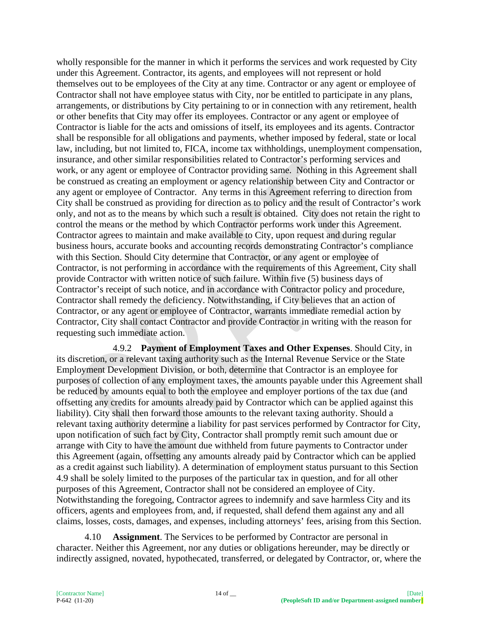wholly responsible for the manner in which it performs the services and work requested by City under this Agreement. Contractor, its agents, and employees will not represent or hold themselves out to be employees of the City at any time. Contractor or any agent or employee of Contractor shall not have employee status with City, nor be entitled to participate in any plans, arrangements, or distributions by City pertaining to or in connection with any retirement, health or other benefits that City may offer its employees. Contractor or any agent or employee of Contractor is liable for the acts and omissions of itself, its employees and its agents. Contractor shall be responsible for all obligations and payments, whether imposed by federal, state or local law, including, but not limited to, FICA, income tax withholdings, unemployment compensation, insurance, and other similar responsibilities related to Contractor's performing services and work, or any agent or employee of Contractor providing same. Nothing in this Agreement shall be construed as creating an employment or agency relationship between City and Contractor or any agent or employee of Contractor. Any terms in this Agreement referring to direction from City shall be construed as providing for direction as to policy and the result of Contractor's work only, and not as to the means by which such a result is obtained. City does not retain the right to control the means or the method by which Contractor performs work under this Agreement. Contractor agrees to maintain and make available to City, upon request and during regular business hours, accurate books and accounting records demonstrating Contractor's compliance with this Section. Should City determine that Contractor, or any agent or employee of Contractor, is not performing in accordance with the requirements of this Agreement, City shall provide Contractor with written notice of such failure. Within five (5) business days of Contractor's receipt of such notice, and in accordance with Contractor policy and procedure, Contractor shall remedy the deficiency. Notwithstanding, if City believes that an action of Contractor, or any agent or employee of Contractor, warrants immediate remedial action by Contractor, City shall contact Contractor and provide Contractor in writing with the reason for requesting such immediate action.

4.9.2 **Payment of Employment Taxes and Other Expenses**. Should City, in its discretion, or a relevant taxing authority such as the Internal Revenue Service or the State Employment Development Division, or both, determine that Contractor is an employee for purposes of collection of any employment taxes, the amounts payable under this Agreement shall be reduced by amounts equal to both the employee and employer portions of the tax due (and offsetting any credits for amounts already paid by Contractor which can be applied against this liability). City shall then forward those amounts to the relevant taxing authority. Should a relevant taxing authority determine a liability for past services performed by Contractor for City, upon notification of such fact by City, Contractor shall promptly remit such amount due or arrange with City to have the amount due withheld from future payments to Contractor under this Agreement (again, offsetting any amounts already paid by Contractor which can be applied as a credit against such liability). A determination of employment status pursuant to this Section 4.9 shall be solely limited to the purposes of the particular tax in question, and for all other purposes of this Agreement, Contractor shall not be considered an employee of City. Notwithstanding the foregoing, Contractor agrees to indemnify and save harmless City and its officers, agents and employees from, and, if requested, shall defend them against any and all claims, losses, costs, damages, and expenses, including attorneys' fees, arising from this Section.

4.10 **Assignment**. The Services to be performed by Contractor are personal in character. Neither this Agreement, nor any duties or obligations hereunder, may be directly or indirectly assigned, novated, hypothecated, transferred, or delegated by Contractor, or, where the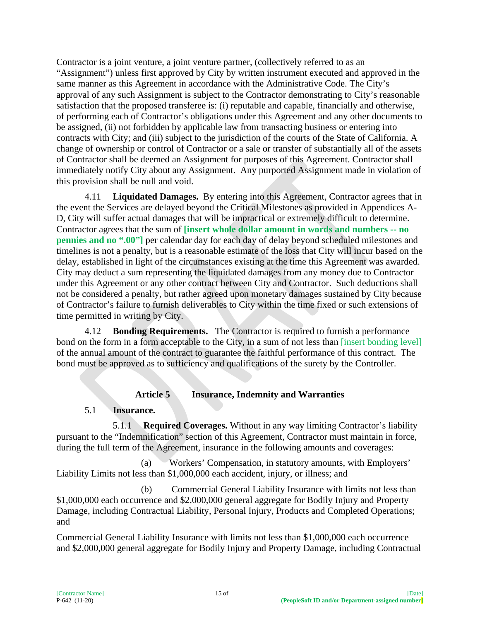Contractor is a joint venture, a joint venture partner, (collectively referred to as an "Assignment") unless first approved by City by written instrument executed and approved in the same manner as this Agreement in accordance with the Administrative Code. The City's approval of any such Assignment is subject to the Contractor demonstrating to City's reasonable satisfaction that the proposed transferee is: (i) reputable and capable, financially and otherwise, of performing each of Contractor's obligations under this Agreement and any other documents to be assigned, (ii) not forbidden by applicable law from transacting business or entering into contracts with City; and (iii) subject to the jurisdiction of the courts of the State of California. A change of ownership or control of Contractor or a sale or transfer of substantially all of the assets of Contractor shall be deemed an Assignment for purposes of this Agreement. Contractor shall immediately notify City about any Assignment. Any purported Assignment made in violation of this provision shall be null and void.

4.11 **Liquidated Damages.** By entering into this Agreement, Contractor agrees that in the event the Services are delayed beyond the Critical Milestones as provided in Appendices A-D, City will suffer actual damages that will be impractical or extremely difficult to determine. Contractor agrees that the sum of **[insert whole dollar amount in words and numbers -- no pennies and no ".00"]** per calendar day for each day of delay beyond scheduled milestones and timelines is not a penalty, but is a reasonable estimate of the loss that City will incur based on the delay, established in light of the circumstances existing at the time this Agreement was awarded. City may deduct a sum representing the liquidated damages from any money due to Contractor under this Agreement or any other contract between City and Contractor. Such deductions shall not be considered a penalty, but rather agreed upon monetary damages sustained by City because of Contractor's failure to furnish deliverables to City within the time fixed or such extensions of time permitted in writing by City.

4.12 **Bonding Requirements.** The Contractor is required to furnish a performance bond on the form in a form acceptable to the City, in a sum of not less than [insert bonding level] of the annual amount of the contract to guarantee the faithful performance of this contract. The bond must be approved as to sufficiency and qualifications of the surety by the Controller.

# **Article 5 Insurance, Indemnity and Warranties**

#### 5.1 **Insurance.**

5.1.1 **Required Coverages.** Without in any way limiting Contractor's liability pursuant to the "Indemnification" section of this Agreement, Contractor must maintain in force, during the full term of the Agreement, insurance in the following amounts and coverages:

(a) Workers' Compensation, in statutory amounts, with Employers' Liability Limits not less than \$1,000,000 each accident, injury, or illness; and

(b) Commercial General Liability Insurance with limits not less than \$1,000,000 each occurrence and \$2,000,000 general aggregate for Bodily Injury and Property Damage, including Contractual Liability, Personal Injury, Products and Completed Operations; and

Commercial General Liability Insurance with limits not less than \$1,000,000 each occurrence and \$2,000,000 general aggregate for Bodily Injury and Property Damage, including Contractual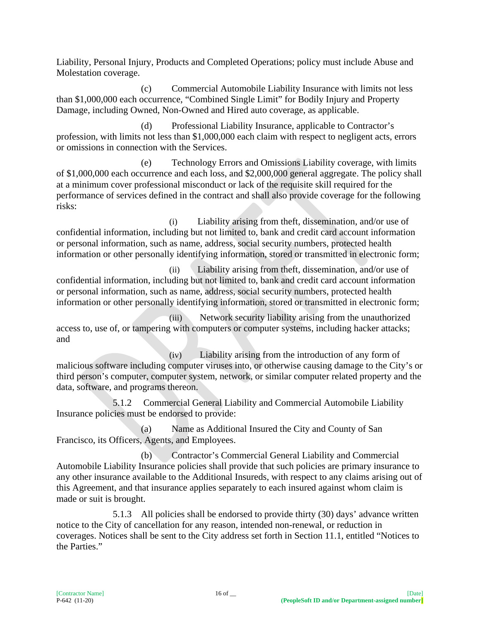Liability, Personal Injury, Products and Completed Operations; policy must include Abuse and Molestation coverage.

(c) Commercial Automobile Liability Insurance with limits not less than \$1,000,000 each occurrence, "Combined Single Limit" for Bodily Injury and Property Damage, including Owned, Non-Owned and Hired auto coverage, as applicable.

(d) Professional Liability Insurance, applicable to Contractor's profession, with limits not less than \$1,000,000 each claim with respect to negligent acts, errors or omissions in connection with the Services.

(e) Technology Errors and Omissions Liability coverage, with limits of \$1,000,000 each occurrence and each loss, and \$2,000,000 general aggregate. The policy shall at a minimum cover professional misconduct or lack of the requisite skill required for the performance of services defined in the contract and shall also provide coverage for the following risks:

(i) Liability arising from theft, dissemination, and/or use of confidential information, including but not limited to, bank and credit card account information or personal information, such as name, address, social security numbers, protected health information or other personally identifying information, stored or transmitted in electronic form;

(ii) Liability arising from theft, dissemination, and/or use of confidential information, including but not limited to, bank and credit card account information or personal information, such as name, address, social security numbers, protected health information or other personally identifying information, stored or transmitted in electronic form;

(iii) Network security liability arising from the unauthorized access to, use of, or tampering with computers or computer systems, including hacker attacks; and

(iv) Liability arising from the introduction of any form of malicious software including computer viruses into, or otherwise causing damage to the City's or third person's computer, computer system, network, or similar computer related property and the data, software, and programs thereon.

5.1.2 Commercial General Liability and Commercial Automobile Liability Insurance policies must be endorsed to provide:

(a) Name as Additional Insured the City and County of San Francisco, its Officers, Agents, and Employees.

(b) Contractor's Commercial General Liability and Commercial Automobile Liability Insurance policies shall provide that such policies are primary insurance to any other insurance available to the Additional Insureds, with respect to any claims arising out of this Agreement, and that insurance applies separately to each insured against whom claim is made or suit is brought.

5.1.3 All policies shall be endorsed to provide thirty (30) days' advance written notice to the City of cancellation for any reason, intended non-renewal, or reduction in coverages. Notices shall be sent to the City address set forth in Section 11.1, entitled "Notices to the Parties."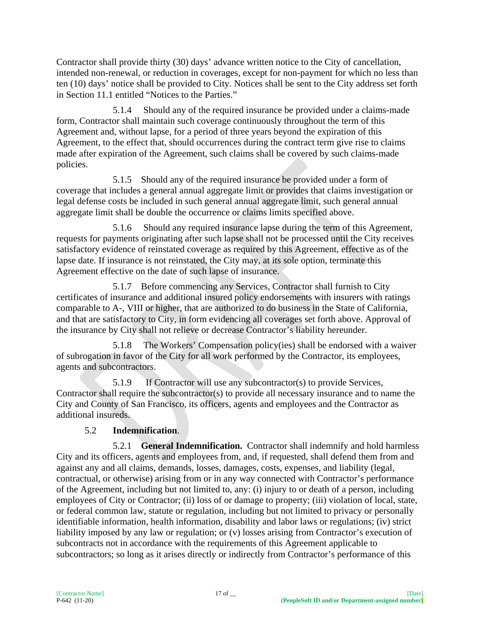Contractor shall provide thirty (30) days' advance written notice to the City of cancellation, intended non-renewal, or reduction in coverages, except for non-payment for which no less than ten (10) days' notice shall be provided to City. Notices shall be sent to the City address set forth in Section 11.1 entitled "Notices to the Parties."

5.1.4 Should any of the required insurance be provided under a claims-made form, Contractor shall maintain such coverage continuously throughout the term of this Agreement and, without lapse, for a period of three years beyond the expiration of this Agreement, to the effect that, should occurrences during the contract term give rise to claims made after expiration of the Agreement, such claims shall be covered by such claims-made policies.

5.1.5 Should any of the required insurance be provided under a form of coverage that includes a general annual aggregate limit or provides that claims investigation or legal defense costs be included in such general annual aggregate limit, such general annual aggregate limit shall be double the occurrence or claims limits specified above.

5.1.6 Should any required insurance lapse during the term of this Agreement, requests for payments originating after such lapse shall not be processed until the City receives satisfactory evidence of reinstated coverage as required by this Agreement, effective as of the lapse date. If insurance is not reinstated, the City may, at its sole option, terminate this Agreement effective on the date of such lapse of insurance.

5.1.7 Before commencing any Services, Contractor shall furnish to City certificates of insurance and additional insured policy endorsements with insurers with ratings comparable to A-, VIII or higher, that are authorized to do business in the State of California, and that are satisfactory to City, in form evidencing all coverages set forth above. Approval of the insurance by City shall not relieve or decrease Contractor's liability hereunder.

5.1.8 The Workers' Compensation policy(ies) shall be endorsed with a waiver of subrogation in favor of the City for all work performed by the Contractor, its employees, agents and subcontractors.

5.1.9 If Contractor will use any subcontractor(s) to provide Services, Contractor shall require the subcontractor(s) to provide all necessary insurance and to name the City and County of San Francisco, its officers, agents and employees and the Contractor as additional insureds.

# 5.2 **Indemnification**.

5.2.1 **General Indemnification.** Contractor shall indemnify and hold harmless City and its officers, agents and employees from, and, if requested, shall defend them from and against any and all claims, demands, losses, damages, costs, expenses, and liability (legal, contractual, or otherwise) arising from or in any way connected with Contractor's performance of the Agreement, including but not limited to, any: (i) injury to or death of a person, including employees of City or Contractor; (ii) loss of or damage to property; (iii) violation of local, state, or federal common law, statute or regulation, including but not limited to privacy or personally identifiable information, health information, disability and labor laws or regulations; (iv) strict liability imposed by any law or regulation; or (v) losses arising from Contractor's execution of subcontracts not in accordance with the requirements of this Agreement applicable to subcontractors; so long as it arises directly or indirectly from Contractor's performance of this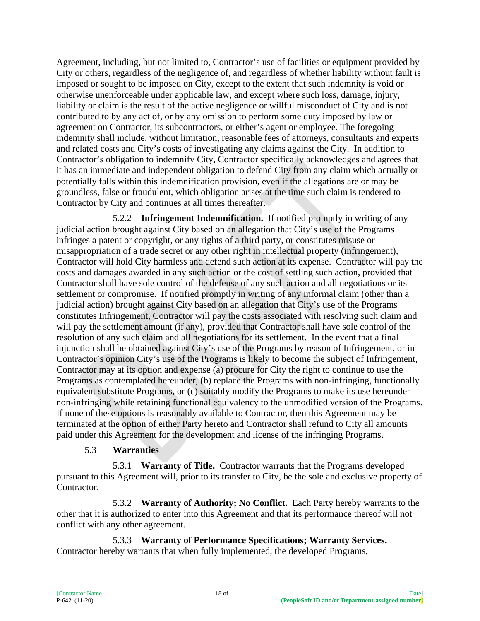Agreement, including, but not limited to, Contractor's use of facilities or equipment provided by City or others, regardless of the negligence of, and regardless of whether liability without fault is imposed or sought to be imposed on City, except to the extent that such indemnity is void or otherwise unenforceable under applicable law, and except where such loss, damage, injury, liability or claim is the result of the active negligence or willful misconduct of City and is not contributed to by any act of, or by any omission to perform some duty imposed by law or agreement on Contractor, its subcontractors, or either's agent or employee. The foregoing indemnity shall include, without limitation, reasonable fees of attorneys, consultants and experts and related costs and City's costs of investigating any claims against the City. In addition to Contractor's obligation to indemnify City, Contractor specifically acknowledges and agrees that it has an immediate and independent obligation to defend City from any claim which actually or potentially falls within this indemnification provision, even if the allegations are or may be groundless, false or fraudulent, which obligation arises at the time such claim is tendered to Contractor by City and continues at all times thereafter.

5.2.2 **Infringement Indemnification.** If notified promptly in writing of any judicial action brought against City based on an allegation that City's use of the Programs infringes a patent or copyright, or any rights of a third party, or constitutes misuse or misappropriation of a trade secret or any other right in intellectual property (infringement), Contractor will hold City harmless and defend such action at its expense. Contractor will pay the costs and damages awarded in any such action or the cost of settling such action, provided that Contractor shall have sole control of the defense of any such action and all negotiations or its settlement or compromise. If notified promptly in writing of any informal claim (other than a judicial action) brought against City based on an allegation that City's use of the Programs constitutes Infringement, Contractor will pay the costs associated with resolving such claim and will pay the settlement amount (if any), provided that Contractor shall have sole control of the resolution of any such claim and all negotiations for its settlement. In the event that a final injunction shall be obtained against City's use of the Programs by reason of Infringement, or in Contractor's opinion City's use of the Programs is likely to become the subject of Infringement, Contractor may at its option and expense (a) procure for City the right to continue to use the Programs as contemplated hereunder, (b) replace the Programs with non-infringing, functionally equivalent substitute Programs, or (c) suitably modify the Programs to make its use hereunder non-infringing while retaining functional equivalency to the unmodified version of the Programs. If none of these options is reasonably available to Contractor, then this Agreement may be terminated at the option of either Party hereto and Contractor shall refund to City all amounts paid under this Agreement for the development and license of the infringing Programs.

#### 5.3 **Warranties**

5.3.1 **Warranty of Title.** Contractor warrants that the Programs developed pursuant to this Agreement will, prior to its transfer to City, be the sole and exclusive property of Contractor.

5.3.2 **Warranty of Authority; No Conflict.** Each Party hereby warrants to the other that it is authorized to enter into this Agreement and that its performance thereof will not conflict with any other agreement.

5.3.3 **Warranty of Performance Specifications; Warranty Services.** Contractor hereby warrants that when fully implemented, the developed Programs,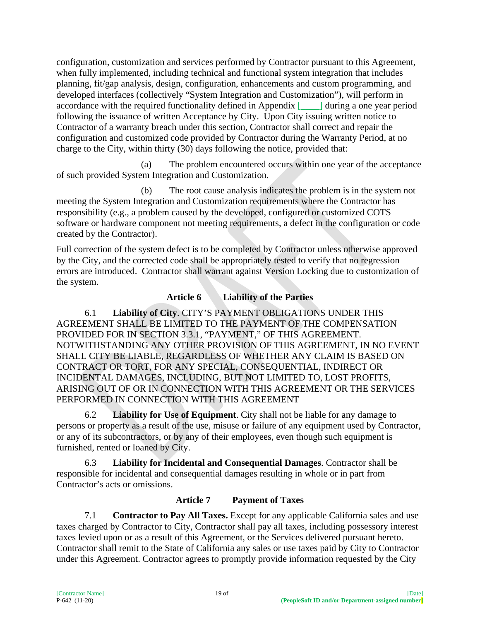configuration, customization and services performed by Contractor pursuant to this Agreement, when fully implemented, including technical and functional system integration that includes planning, fit/gap analysis, design, configuration, enhancements and custom programming, and developed interfaces (collectively "System Integration and Customization"), will perform in accordance with the required functionality defined in Appendix [\_\_\_\_] during a one year period following the issuance of written Acceptance by City. Upon City issuing written notice to Contractor of a warranty breach under this section, Contractor shall correct and repair the configuration and customized code provided by Contractor during the Warranty Period, at no charge to the City, within thirty (30) days following the notice, provided that:

(a) The problem encountered occurs within one year of the acceptance of such provided System Integration and Customization.

(b) The root cause analysis indicates the problem is in the system not meeting the System Integration and Customization requirements where the Contractor has responsibility (e.g., a problem caused by the developed, configured or customized COTS software or hardware component not meeting requirements, a defect in the configuration or code created by the Contractor).

Full correction of the system defect is to be completed by Contractor unless otherwise approved by the City, and the corrected code shall be appropriately tested to verify that no regression errors are introduced. Contractor shall warrant against Version Locking due to customization of the system.

# **Article 6 Liability of the Parties**

6.1 **Liability of City**. CITY'S PAYMENT OBLIGATIONS UNDER THIS AGREEMENT SHALL BE LIMITED TO THE PAYMENT OF THE COMPENSATION PROVIDED FOR IN SECTION 3.3.1, "PAYMENT," OF THIS AGREEMENT. NOTWITHSTANDING ANY OTHER PROVISION OF THIS AGREEMENT, IN NO EVENT SHALL CITY BE LIABLE, REGARDLESS OF WHETHER ANY CLAIM IS BASED ON CONTRACT OR TORT, FOR ANY SPECIAL, CONSEQUENTIAL, INDIRECT OR INCIDENTAL DAMAGES, INCLUDING, BUT NOT LIMITED TO, LOST PROFITS, ARISING OUT OF OR IN CONNECTION WITH THIS AGREEMENT OR THE SERVICES PERFORMED IN CONNECTION WITH THIS AGREEMENT

6.2 **Liability for Use of Equipment**. City shall not be liable for any damage to persons or property as a result of the use, misuse or failure of any equipment used by Contractor, or any of its subcontractors, or by any of their employees, even though such equipment is furnished, rented or loaned by City.

6.3 **Liability for Incidental and Consequential Damages**. Contractor shall be responsible for incidental and consequential damages resulting in whole or in part from Contractor's acts or omissions.

#### **Article 7 Payment of Taxes**

7.1 **Contractor to Pay All Taxes.** Except for any applicable California sales and use taxes charged by Contractor to City, Contractor shall pay all taxes, including possessory interest taxes levied upon or as a result of this Agreement, or the Services delivered pursuant hereto. Contractor shall remit to the State of California any sales or use taxes paid by City to Contractor under this Agreement. Contractor agrees to promptly provide information requested by the City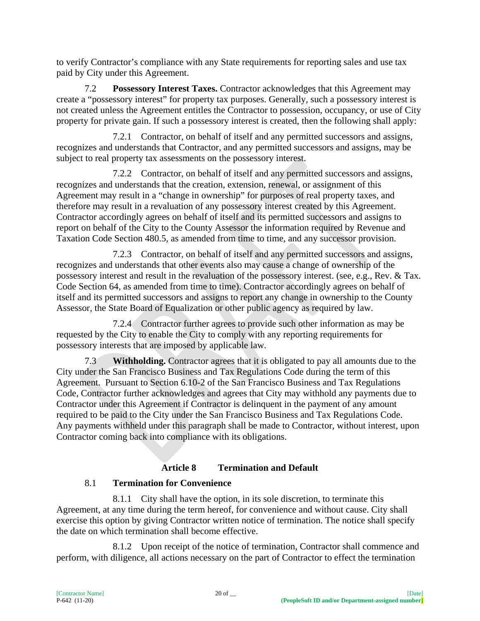to verify Contractor's compliance with any State requirements for reporting sales and use tax paid by City under this Agreement.

7.2 **Possessory Interest Taxes.** Contractor acknowledges that this Agreement may create a "possessory interest" for property tax purposes. Generally, such a possessory interest is not created unless the Agreement entitles the Contractor to possession, occupancy, or use of City property for private gain. If such a possessory interest is created, then the following shall apply:

7.2.1 Contractor, on behalf of itself and any permitted successors and assigns, recognizes and understands that Contractor, and any permitted successors and assigns, may be subject to real property tax assessments on the possessory interest.

7.2.2 Contractor, on behalf of itself and any permitted successors and assigns, recognizes and understands that the creation, extension, renewal, or assignment of this Agreement may result in a "change in ownership" for purposes of real property taxes, and therefore may result in a revaluation of any possessory interest created by this Agreement. Contractor accordingly agrees on behalf of itself and its permitted successors and assigns to report on behalf of the City to the County Assessor the information required by Revenue and Taxation Code Section 480.5, as amended from time to time, and any successor provision.

7.2.3 Contractor, on behalf of itself and any permitted successors and assigns, recognizes and understands that other events also may cause a change of ownership of the possessory interest and result in the revaluation of the possessory interest. (see, e.g., Rev. & Tax. Code Section 64, as amended from time to time). Contractor accordingly agrees on behalf of itself and its permitted successors and assigns to report any change in ownership to the County Assessor, the State Board of Equalization or other public agency as required by law.

7.2.4 Contractor further agrees to provide such other information as may be requested by the City to enable the City to comply with any reporting requirements for possessory interests that are imposed by applicable law.

7.3 **Withholding.** Contractor agrees that it is obligated to pay all amounts due to the City under the San Francisco Business and Tax Regulations Code during the term of this Agreement. Pursuant to Section 6.10-2 of the San Francisco Business and Tax Regulations Code, Contractor further acknowledges and agrees that City may withhold any payments due to Contractor under this Agreement if Contractor is delinquent in the payment of any amount required to be paid to the City under the San Francisco Business and Tax Regulations Code. Any payments withheld under this paragraph shall be made to Contractor, without interest, upon Contractor coming back into compliance with its obligations.

# **Article 8 Termination and Default**

# 8.1 **Termination for Convenience**

8.1.1 City shall have the option, in its sole discretion, to terminate this Agreement, at any time during the term hereof, for convenience and without cause. City shall exercise this option by giving Contractor written notice of termination. The notice shall specify the date on which termination shall become effective.

8.1.2 Upon receipt of the notice of termination, Contractor shall commence and perform, with diligence, all actions necessary on the part of Contractor to effect the termination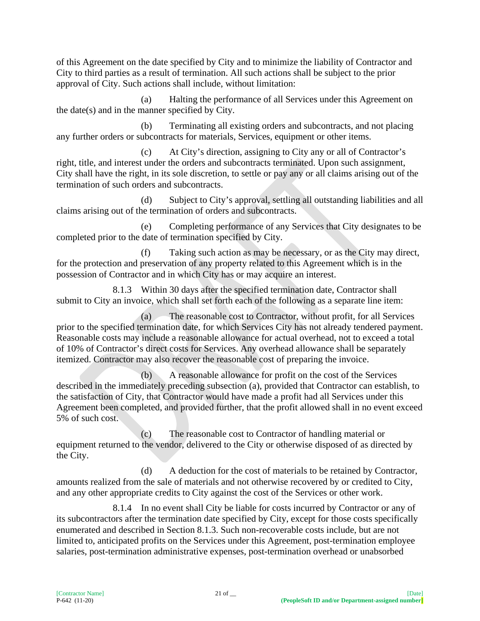of this Agreement on the date specified by City and to minimize the liability of Contractor and City to third parties as a result of termination. All such actions shall be subject to the prior approval of City. Such actions shall include, without limitation:

(a) Halting the performance of all Services under this Agreement on the date(s) and in the manner specified by City.

(b) Terminating all existing orders and subcontracts, and not placing any further orders or subcontracts for materials, Services, equipment or other items.

(c) At City's direction, assigning to City any or all of Contractor's right, title, and interest under the orders and subcontracts terminated. Upon such assignment, City shall have the right, in its sole discretion, to settle or pay any or all claims arising out of the termination of such orders and subcontracts.

(d) Subject to City's approval, settling all outstanding liabilities and all claims arising out of the termination of orders and subcontracts.

(e) Completing performance of any Services that City designates to be completed prior to the date of termination specified by City.

(f) Taking such action as may be necessary, or as the City may direct, for the protection and preservation of any property related to this Agreement which is in the possession of Contractor and in which City has or may acquire an interest.

8.1.3 Within 30 days after the specified termination date, Contractor shall submit to City an invoice, which shall set forth each of the following as a separate line item:

(a) The reasonable cost to Contractor, without profit, for all Services prior to the specified termination date, for which Services City has not already tendered payment. Reasonable costs may include a reasonable allowance for actual overhead, not to exceed a total of 10% of Contractor's direct costs for Services. Any overhead allowance shall be separately itemized. Contractor may also recover the reasonable cost of preparing the invoice.

(b) A reasonable allowance for profit on the cost of the Services described in the immediately preceding subsection (a), provided that Contractor can establish, to the satisfaction of City, that Contractor would have made a profit had all Services under this Agreement been completed, and provided further, that the profit allowed shall in no event exceed 5% of such cost.

(c) The reasonable cost to Contractor of handling material or equipment returned to the vendor, delivered to the City or otherwise disposed of as directed by the City.

(d) A deduction for the cost of materials to be retained by Contractor, amounts realized from the sale of materials and not otherwise recovered by or credited to City, and any other appropriate credits to City against the cost of the Services or other work.

8.1.4 In no event shall City be liable for costs incurred by Contractor or any of its subcontractors after the termination date specified by City, except for those costs specifically enumerated and described in Section 8.1.3. Such non-recoverable costs include, but are not limited to, anticipated profits on the Services under this Agreement, post-termination employee salaries, post-termination administrative expenses, post-termination overhead or unabsorbed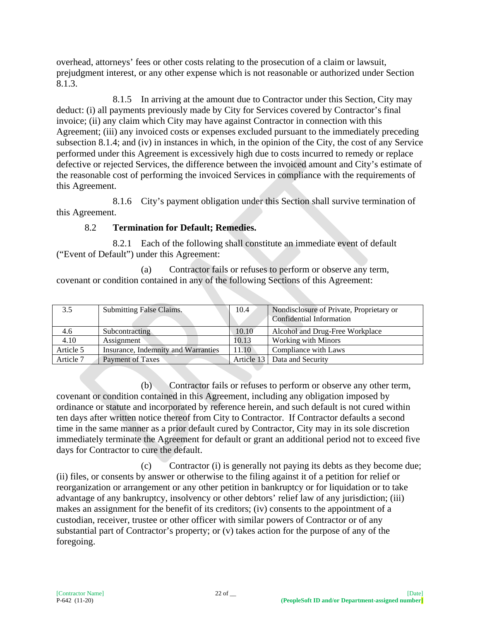overhead, attorneys' fees or other costs relating to the prosecution of a claim or lawsuit, prejudgment interest, or any other expense which is not reasonable or authorized under Section 8.1.3.

8.1.5 In arriving at the amount due to Contractor under this Section, City may deduct: (i) all payments previously made by City for Services covered by Contractor's final invoice; (ii) any claim which City may have against Contractor in connection with this Agreement; (iii) any invoiced costs or expenses excluded pursuant to the immediately preceding subsection 8.1.4; and (iv) in instances in which, in the opinion of the City, the cost of any Service performed under this Agreement is excessively high due to costs incurred to remedy or replace defective or rejected Services, the difference between the invoiced amount and City's estimate of the reasonable cost of performing the invoiced Services in compliance with the requirements of this Agreement.

8.1.6 City's payment obligation under this Section shall survive termination of this Agreement.

## 8.2 **Termination for Default; Remedies.**

8.2.1 Each of the following shall constitute an immediate event of default ("Event of Default") under this Agreement:

(a) Contractor fails or refuses to perform or observe any term, covenant or condition contained in any of the following Sections of this Agreement:

| 3.5       | Submitting False Claims.            | 10.4  | Nondisclosure of Private, Proprietary or<br>Confidential Information |
|-----------|-------------------------------------|-------|----------------------------------------------------------------------|
| 4.6       | Subcontracting                      | 10.10 | Alcohol and Drug-Free Workplace                                      |
| 4.10      | Assignment                          | 10.13 | <b>Working with Minors</b>                                           |
| Article 5 | Insurance, Indemnity and Warranties | 11.10 | Compliance with Laws                                                 |
| Article 7 | Payment of Taxes                    |       | Article 13   Data and Security                                       |

(b) Contractor fails or refuses to perform or observe any other term, covenant or condition contained in this Agreement, including any obligation imposed by ordinance or statute and incorporated by reference herein, and such default is not cured within ten days after written notice thereof from City to Contractor. If Contractor defaults a second time in the same manner as a prior default cured by Contractor, City may in its sole discretion immediately terminate the Agreement for default or grant an additional period not to exceed five days for Contractor to cure the default.

(c) Contractor (i) is generally not paying its debts as they become due; (ii) files, or consents by answer or otherwise to the filing against it of a petition for relief or reorganization or arrangement or any other petition in bankruptcy or for liquidation or to take advantage of any bankruptcy, insolvency or other debtors' relief law of any jurisdiction; (iii) makes an assignment for the benefit of its creditors; (iv) consents to the appointment of a custodian, receiver, trustee or other officer with similar powers of Contractor or of any substantial part of Contractor's property; or (v) takes action for the purpose of any of the foregoing.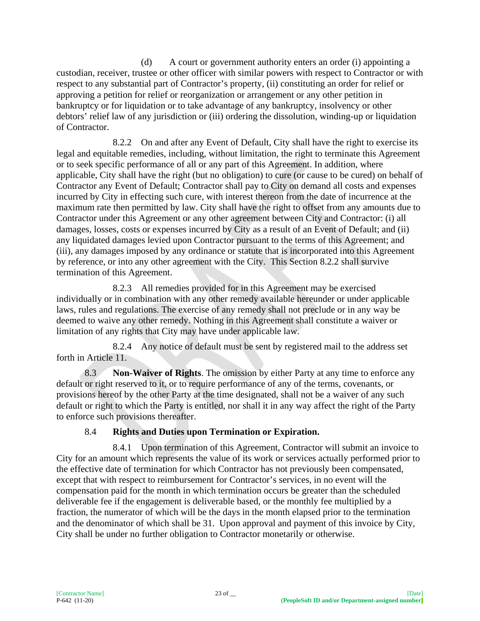(d) A court or government authority enters an order (i) appointing a custodian, receiver, trustee or other officer with similar powers with respect to Contractor or with respect to any substantial part of Contractor's property, (ii) constituting an order for relief or approving a petition for relief or reorganization or arrangement or any other petition in bankruptcy or for liquidation or to take advantage of any bankruptcy, insolvency or other debtors' relief law of any jurisdiction or (iii) ordering the dissolution, winding-up or liquidation of Contractor.

8.2.2 On and after any Event of Default, City shall have the right to exercise its legal and equitable remedies, including, without limitation, the right to terminate this Agreement or to seek specific performance of all or any part of this Agreement. In addition, where applicable, City shall have the right (but no obligation) to cure (or cause to be cured) on behalf of Contractor any Event of Default; Contractor shall pay to City on demand all costs and expenses incurred by City in effecting such cure, with interest thereon from the date of incurrence at the maximum rate then permitted by law. City shall have the right to offset from any amounts due to Contractor under this Agreement or any other agreement between City and Contractor: (i) all damages, losses, costs or expenses incurred by City as a result of an Event of Default; and (ii) any liquidated damages levied upon Contractor pursuant to the terms of this Agreement; and (iii), any damages imposed by any ordinance or statute that is incorporated into this Agreement by reference, or into any other agreement with the City. This Section 8.2.2 shall survive termination of this Agreement.

8.2.3 All remedies provided for in this Agreement may be exercised individually or in combination with any other remedy available hereunder or under applicable laws, rules and regulations. The exercise of any remedy shall not preclude or in any way be deemed to waive any other remedy. Nothing in this Agreement shall constitute a waiver or limitation of any rights that City may have under applicable law.

8.2.4 Any notice of default must be sent by registered mail to the address set forth in Article 11.

8.3 **Non-Waiver of Rights**. The omission by either Party at any time to enforce any default or right reserved to it, or to require performance of any of the terms, covenants, or provisions hereof by the other Party at the time designated, shall not be a waiver of any such default or right to which the Party is entitled, nor shall it in any way affect the right of the Party to enforce such provisions thereafter.

# 8.4 **Rights and Duties upon Termination or Expiration.**

8.4.1 Upon termination of this Agreement, Contractor will submit an invoice to City for an amount which represents the value of its work or services actually performed prior to the effective date of termination for which Contractor has not previously been compensated, except that with respect to reimbursement for Contractor's services, in no event will the compensation paid for the month in which termination occurs be greater than the scheduled deliverable fee if the engagement is deliverable based, or the monthly fee multiplied by a fraction, the numerator of which will be the days in the month elapsed prior to the termination and the denominator of which shall be 31. Upon approval and payment of this invoice by City, City shall be under no further obligation to Contractor monetarily or otherwise.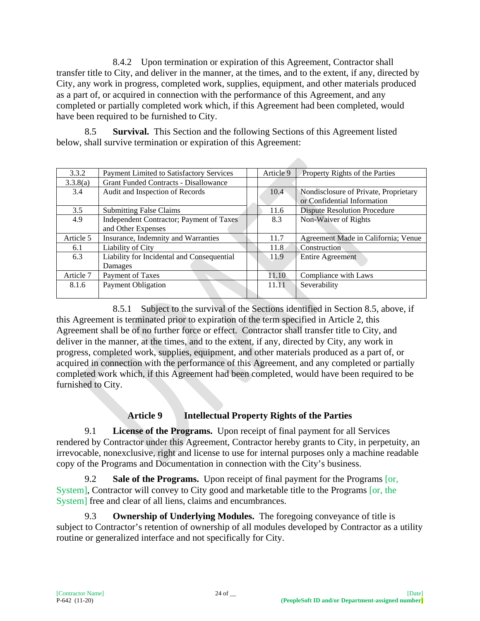8.4.2 Upon termination or expiration of this Agreement, Contractor shall transfer title to City, and deliver in the manner, at the times, and to the extent, if any, directed by City, any work in progress, completed work, supplies, equipment, and other materials produced as a part of, or acquired in connection with the performance of this Agreement, and any completed or partially completed work which, if this Agreement had been completed, would have been required to be furnished to City.

8.5 **Survival.** This Section and the following Sections of this Agreement listed below, shall survive termination or expiration of this Agreement:

| 3.3.2     | Payment Limited to Satisfactory Services     | Article 9      | Property Rights of the Parties        |
|-----------|----------------------------------------------|----------------|---------------------------------------|
| 3.3.8(a)  | <b>Grant Funded Contracts - Disallowance</b> |                |                                       |
| 3.4       | Audit and Inspection of Records              | $10.4^{\circ}$ | Nondisclosure of Private, Proprietary |
|           |                                              |                | or Confidential Information           |
| 3.5       | <b>Submitting False Claims</b>               | 11.6           | <b>Dispute Resolution Procedure</b>   |
| 4.9       | Independent Contractor; Payment of Taxes     | 8.3            | Non-Waiver of Rights                  |
|           | and Other Expenses                           |                |                                       |
| Article 5 | Insurance, Indemnity and Warranties          | 11.7           | Agreement Made in California; Venue   |
| 6.1       | Liability of City                            | 11.8           | Construction                          |
| 6.3       | Liability for Incidental and Consequential   | 11.9           | Entire Agreement                      |
|           | Damages                                      |                |                                       |
| Article 7 | Payment of Taxes                             | 11.10          | Compliance with Laws                  |
| 8.1.6     | <b>Payment Obligation</b>                    | 11.11          | Severability                          |
|           |                                              |                |                                       |

8.5.1 Subject to the survival of the Sections identified in Section 8.5, above, if this Agreement is terminated prior to expiration of the term specified in Article 2, this Agreement shall be of no further force or effect. Contractor shall transfer title to City, and deliver in the manner, at the times, and to the extent, if any, directed by City, any work in progress, completed work, supplies, equipment, and other materials produced as a part of, or acquired in connection with the performance of this Agreement, and any completed or partially completed work which, if this Agreement had been completed, would have been required to be furnished to City.

# **Article 9 Intellectual Property Rights of the Parties**

9.1 **License of the Programs.** Upon receipt of final payment for all Services rendered by Contractor under this Agreement, Contractor hereby grants to City, in perpetuity, an irrevocable, nonexclusive, right and license to use for internal purposes only a machine readable copy of the Programs and Documentation in connection with the City's business.

9.2 **Sale of the Programs.** Upon receipt of final payment for the Programs [or, System], Contractor will convey to City good and marketable title to the Programs [or, the System] free and clear of all liens, claims and encumbrances.

9.3 **Ownership of Underlying Modules.** The foregoing conveyance of title is subject to Contractor's retention of ownership of all modules developed by Contractor as a utility routine or generalized interface and not specifically for City.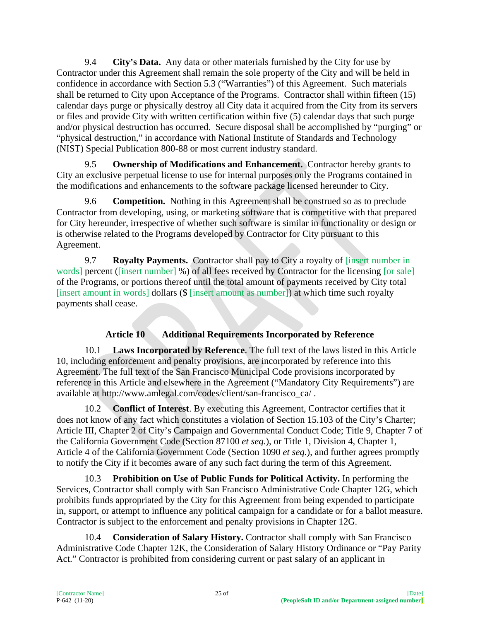9.4 **City's Data.** Any data or other materials furnished by the City for use by Contractor under this Agreement shall remain the sole property of the City and will be held in confidence in accordance with Section 5.3 ("Warranties") of this Agreement. Such materials shall be returned to City upon Acceptance of the Programs. Contractor shall within fifteen (15) calendar days purge or physically destroy all City data it acquired from the City from its servers or files and provide City with written certification within five (5) calendar days that such purge and/or physical destruction has occurred. Secure disposal shall be accomplished by "purging" or "physical destruction," in accordance with National Institute of Standards and Technology (NIST) Special Publication 800-88 or most current industry standard.

9.5 **Ownership of Modifications and Enhancement.** Contractor hereby grants to City an exclusive perpetual license to use for internal purposes only the Programs contained in the modifications and enhancements to the software package licensed hereunder to City.

9.6 **Competition.** Nothing in this Agreement shall be construed so as to preclude Contractor from developing, using, or marketing software that is competitive with that prepared for City hereunder, irrespective of whether such software is similar in functionality or design or is otherwise related to the Programs developed by Contractor for City pursuant to this Agreement.

9.7 **Royalty Payments.** Contractor shall pay to City a royalty of [insert number in words] percent ([insert number] %) of all fees received by Contractor for the licensing [or sale] of the Programs, or portions thereof until the total amount of payments received by City total [insert amount in words] dollars (\$ [insert amount as number]) at which time such royalty payments shall cease.

# **Article 10 Additional Requirements Incorporated by Reference**

10.1 **Laws Incorporated by Reference**. The full text of the laws listed in this Article 10, including enforcement and penalty provisions, are incorporated by reference into this Agreement. The full text of the San Francisco Municipal Code provisions incorporated by reference in this Article and elsewhere in the Agreement ("Mandatory City Requirements") are available at http://www.amlegal.com/codes/client/san-francisco\_ca/ .

10.2 **Conflict of Interest**. By executing this Agreement, Contractor certifies that it does not know of any fact which constitutes a violation of Section 15.103 of the City's Charter; Article III, Chapter 2 of City's Campaign and Governmental Conduct Code; Title 9, Chapter 7 of the California Government Code (Section 87100 *et seq.*), or Title 1, Division 4, Chapter 1, Article 4 of the California Government Code (Section 1090 *et seq.*), and further agrees promptly to notify the City if it becomes aware of any such fact during the term of this Agreement.

10.3 **Prohibition on Use of Public Funds for Political Activity.** In performing the Services, Contractor shall comply with San Francisco Administrative Code Chapter 12G, which prohibits funds appropriated by the City for this Agreement from being expended to participate in, support, or attempt to influence any political campaign for a candidate or for a ballot measure. Contractor is subject to the enforcement and penalty provisions in Chapter 12G.

10.4 **Consideration of Salary History.** Contractor shall comply with San Francisco Administrative Code Chapter 12K, the Consideration of Salary History Ordinance or "Pay Parity Act." Contractor is prohibited from considering current or past salary of an applicant in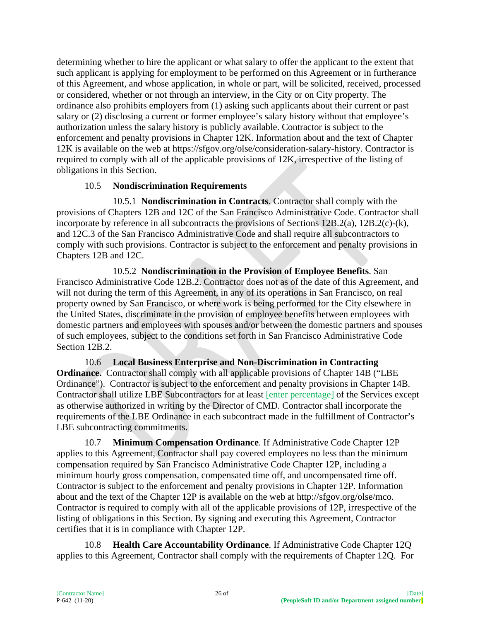determining whether to hire the applicant or what salary to offer the applicant to the extent that such applicant is applying for employment to be performed on this Agreement or in furtherance of this Agreement, and whose application, in whole or part, will be solicited, received, processed or considered, whether or not through an interview, in the City or on City property. The ordinance also prohibits employers from (1) asking such applicants about their current or past salary or (2) disclosing a current or former employee's salary history without that employee's authorization unless the salary history is publicly available. Contractor is subject to the enforcement and penalty provisions in Chapter 12K. Information about and the text of Chapter 12K is available on the web at https://sfgov.org/olse/consideration-salary-history. Contractor is required to comply with all of the applicable provisions of 12K, irrespective of the listing of obligations in this Section.

## 10.5 **Nondiscrimination Requirements**

10.5.1 **Nondiscrimination in Contracts**. Contractor shall comply with the provisions of Chapters 12B and 12C of the San Francisco Administrative Code. Contractor shall incorporate by reference in all subcontracts the provisions of Sections 12B.2(a), 12B.2(c)-(k), and 12C.3 of the San Francisco Administrative Code and shall require all subcontractors to comply with such provisions. Contractor is subject to the enforcement and penalty provisions in Chapters 12B and 12C.

10.5.2 **Nondiscrimination in the Provision of Employee Benefits**. San Francisco Administrative Code 12B.2. Contractor does not as of the date of this Agreement, and will not during the term of this Agreement, in any of its operations in San Francisco, on real property owned by San Francisco, or where work is being performed for the City elsewhere in the United States, discriminate in the provision of employee benefits between employees with domestic partners and employees with spouses and/or between the domestic partners and spouses of such employees, subject to the conditions set forth in San Francisco Administrative Code Section 12B.2.

10.6 **Local Business Enterprise and Non-Discrimination in Contracting Ordinance.** Contractor shall comply with all applicable provisions of Chapter 14B ("LBE Ordinance"). Contractor is subject to the enforcement and penalty provisions in Chapter 14B. Contractor shall utilize LBE Subcontractors for at least [enter percentage] of the Services except as otherwise authorized in writing by the Director of CMD. Contractor shall incorporate the requirements of the LBE Ordinance in each subcontract made in the fulfillment of Contractor's LBE subcontracting commitments.

10.7 **Minimum Compensation Ordinance**. If Administrative Code Chapter 12P applies to this Agreement, Contractor shall pay covered employees no less than the minimum compensation required by San Francisco Administrative Code Chapter 12P, including a minimum hourly gross compensation, compensated time off, and uncompensated time off. Contractor is subject to the enforcement and penalty provisions in Chapter 12P. Information about and the text of the Chapter 12P is available on the web at http://sfgov.org/olse/mco. Contractor is required to comply with all of the applicable provisions of 12P, irrespective of the listing of obligations in this Section. By signing and executing this Agreement, Contractor certifies that it is in compliance with Chapter 12P.

10.8 **Health Care Accountability Ordinance**. If Administrative Code Chapter 12Q applies to this Agreement, Contractor shall comply with the requirements of Chapter 12Q. For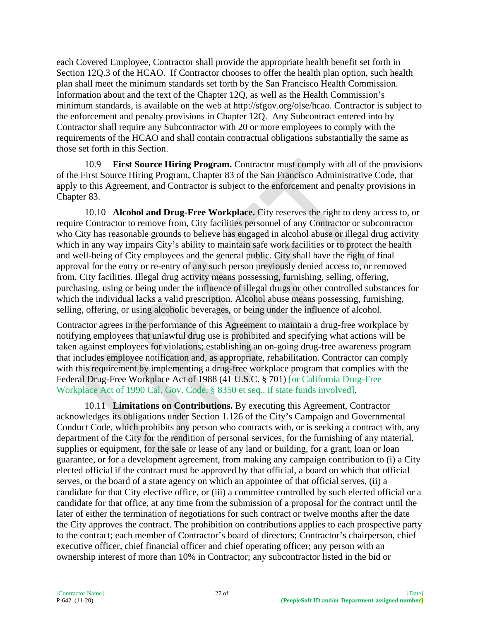each Covered Employee, Contractor shall provide the appropriate health benefit set forth in Section 12Q.3 of the HCAO. If Contractor chooses to offer the health plan option, such health plan shall meet the minimum standards set forth by the San Francisco Health Commission. Information about and the text of the Chapter 12Q, as well as the Health Commission's minimum standards, is available on the web at http://sfgov.org/olse/hcao. Contractor is subject to the enforcement and penalty provisions in Chapter 12Q. Any Subcontract entered into by Contractor shall require any Subcontractor with 20 or more employees to comply with the requirements of the HCAO and shall contain contractual obligations substantially the same as those set forth in this Section.

10.9 **First Source Hiring Program.** Contractor must comply with all of the provisions of the First Source Hiring Program, Chapter 83 of the San Francisco Administrative Code, that apply to this Agreement, and Contractor is subject to the enforcement and penalty provisions in Chapter 83.

10.10 **Alcohol and Drug-Free Workplace.** City reserves the right to deny access to, or require Contractor to remove from, City facilities personnel of any Contractor or subcontractor who City has reasonable grounds to believe has engaged in alcohol abuse or illegal drug activity which in any way impairs City's ability to maintain safe work facilities or to protect the health and well-being of City employees and the general public. City shall have the right of final approval for the entry or re-entry of any such person previously denied access to, or removed from, City facilities. Illegal drug activity means possessing, furnishing, selling, offering, purchasing, using or being under the influence of illegal drugs or other controlled substances for which the individual lacks a valid prescription. Alcohol abuse means possessing, furnishing, selling, offering, or using alcoholic beverages, or being under the influence of alcohol.

Contractor agrees in the performance of this Agreement to maintain a drug-free workplace by notifying employees that unlawful drug use is prohibited and specifying what actions will be taken against employees for violations; establishing an on-going drug-free awareness program that includes employee notification and, as appropriate, rehabilitation. Contractor can comply with this requirement by implementing a drug-free workplace program that complies with the Federal Drug-Free Workplace Act of 1988 (41 U.S.C. § 701) [or California Drug-Free Workplace Act of 1990 Cal. Gov. Code, § 8350 et seq., if state funds involved].

10.11 **Limitations on Contributions.** By executing this Agreement, Contractor acknowledges its obligations under Section 1.126 of the City's Campaign and Governmental Conduct Code, which prohibits any person who contracts with, or is seeking a contract with, any department of the City for the rendition of personal services, for the furnishing of any material, supplies or equipment, for the sale or lease of any land or building, for a grant, loan or loan guarantee, or for a development agreement, from making any campaign contribution to (i) a City elected official if the contract must be approved by that official, a board on which that official serves, or the board of a state agency on which an appointee of that official serves, (ii) a candidate for that City elective office, or (iii) a committee controlled by such elected official or a candidate for that office, at any time from the submission of a proposal for the contract until the later of either the termination of negotiations for such contract or twelve months after the date the City approves the contract. The prohibition on contributions applies to each prospective party to the contract; each member of Contractor's board of directors; Contractor's chairperson, chief executive officer, chief financial officer and chief operating officer; any person with an ownership interest of more than 10% in Contractor; any subcontractor listed in the bid or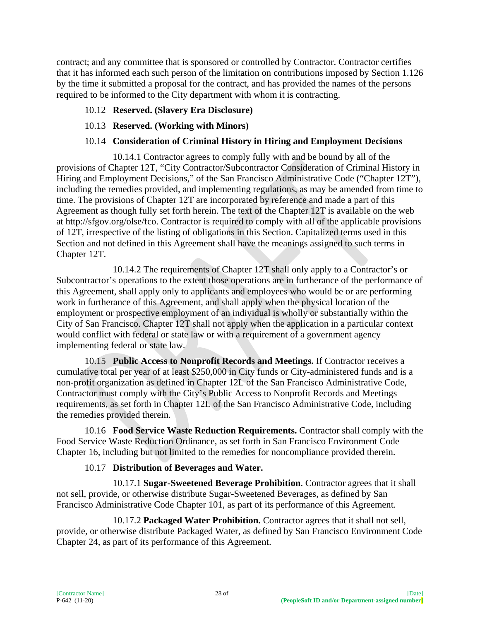contract; and any committee that is sponsored or controlled by Contractor. Contractor certifies that it has informed each such person of the limitation on contributions imposed by Section 1.126 by the time it submitted a proposal for the contract, and has provided the names of the persons required to be informed to the City department with whom it is contracting.

## 10.12 **Reserved. (Slavery Era Disclosure)**

## 10.13 **Reserved. (Working with Minors)**

### 10.14 **Consideration of Criminal History in Hiring and Employment Decisions**

10.14.1 Contractor agrees to comply fully with and be bound by all of the provisions of Chapter 12T, "City Contractor/Subcontractor Consideration of Criminal History in Hiring and Employment Decisions," of the San Francisco Administrative Code ("Chapter 12T"), including the remedies provided, and implementing regulations, as may be amended from time to time. The provisions of Chapter 12T are incorporated by reference and made a part of this Agreement as though fully set forth herein. The text of the Chapter 12T is available on the web at http://sfgov.org/olse/fco. Contractor is required to comply with all of the applicable provisions of 12T, irrespective of the listing of obligations in this Section. Capitalized terms used in this Section and not defined in this Agreement shall have the meanings assigned to such terms in Chapter 12T.

10.14.2 The requirements of Chapter 12T shall only apply to a Contractor's or Subcontractor's operations to the extent those operations are in furtherance of the performance of this Agreement, shall apply only to applicants and employees who would be or are performing work in furtherance of this Agreement, and shall apply when the physical location of the employment or prospective employment of an individual is wholly or substantially within the City of San Francisco. Chapter 12T shall not apply when the application in a particular context would conflict with federal or state law or with a requirement of a government agency implementing federal or state law.

10.15 **Public Access to Nonprofit Records and Meetings.** If Contractor receives a cumulative total per year of at least \$250,000 in City funds or City-administered funds and is a non-profit organization as defined in Chapter 12L of the San Francisco Administrative Code, Contractor must comply with the City's Public Access to Nonprofit Records and Meetings requirements, as set forth in Chapter 12L of the San Francisco Administrative Code, including the remedies provided therein.

10.16 **Food Service Waste Reduction Requirements.** Contractor shall comply with the Food Service Waste Reduction Ordinance, as set forth in San Francisco Environment Code Chapter 16, including but not limited to the remedies for noncompliance provided therein.

#### 10.17 **Distribution of Beverages and Water.**

10.17.1 **Sugar-Sweetened Beverage Prohibition**. Contractor agrees that it shall not sell, provide, or otherwise distribute Sugar-Sweetened Beverages, as defined by San Francisco Administrative Code Chapter 101, as part of its performance of this Agreement.

10.17.2 **Packaged Water Prohibition.** Contractor agrees that it shall not sell, provide, or otherwise distribute Packaged Water, as defined by San Francisco Environment Code Chapter 24, as part of its performance of this Agreement.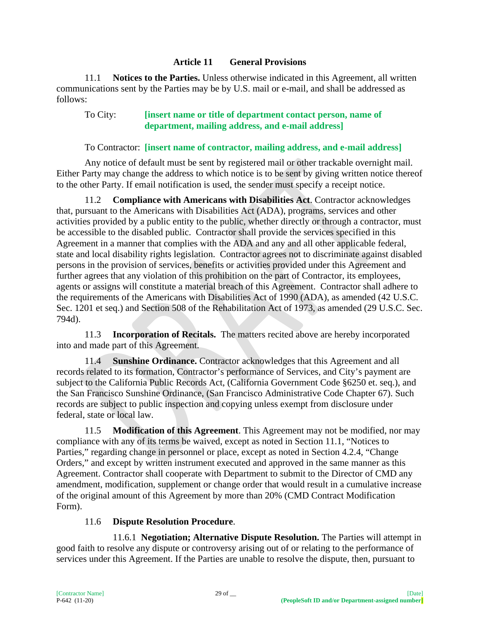#### **Article 11 General Provisions**

11.1 **Notices to the Parties.** Unless otherwise indicated in this Agreement, all written communications sent by the Parties may be by U.S. mail or e-mail, and shall be addressed as follows:

#### To City: **[insert name or title of department contact person, name of department, mailing address, and e-mail address]**

#### To Contractor: **[insert name of contractor, mailing address, and e-mail address]**

Any notice of default must be sent by registered mail or other trackable overnight mail. Either Party may change the address to which notice is to be sent by giving written notice thereof to the other Party. If email notification is used, the sender must specify a receipt notice.

11.2 **Compliance with Americans with Disabilities Act**. Contractor acknowledges that, pursuant to the Americans with Disabilities Act (ADA), programs, services and other activities provided by a public entity to the public, whether directly or through a contractor, must be accessible to the disabled public. Contractor shall provide the services specified in this Agreement in a manner that complies with the ADA and any and all other applicable federal, state and local disability rights legislation. Contractor agrees not to discriminate against disabled persons in the provision of services, benefits or activities provided under this Agreement and further agrees that any violation of this prohibition on the part of Contractor, its employees, agents or assigns will constitute a material breach of this Agreement. Contractor shall adhere to the requirements of the Americans with Disabilities Act of 1990 (ADA), as amended (42 U.S.C. Sec. 1201 et seq.) and Section 508 of the Rehabilitation Act of 1973, as amended (29 U.S.C. Sec. 794d).

11.3 **Incorporation of Recitals.** The matters recited above are hereby incorporated into and made part of this Agreement.

11.4 **Sunshine Ordinance.** Contractor acknowledges that this Agreement and all records related to its formation, Contractor's performance of Services, and City's payment are subject to the California Public Records Act, (California Government Code §6250 et. seq.), and the San Francisco Sunshine Ordinance, (San Francisco Administrative Code Chapter 67). Such records are subject to public inspection and copying unless exempt from disclosure under federal, state or local law.

11.5 **Modification of this Agreement**. This Agreement may not be modified, nor may compliance with any of its terms be waived, except as noted in Section 11.1, "Notices to Parties," regarding change in personnel or place, except as noted in Section 4.2.4, "Change Orders," and except by written instrument executed and approved in the same manner as this Agreement. Contractor shall cooperate with Department to submit to the Director of CMD any amendment, modification, supplement or change order that would result in a cumulative increase of the original amount of this Agreement by more than 20% (CMD Contract Modification Form).

#### 11.6 **Dispute Resolution Procedure**.

11.6.1 **Negotiation; Alternative Dispute Resolution.** The Parties will attempt in good faith to resolve any dispute or controversy arising out of or relating to the performance of services under this Agreement. If the Parties are unable to resolve the dispute, then, pursuant to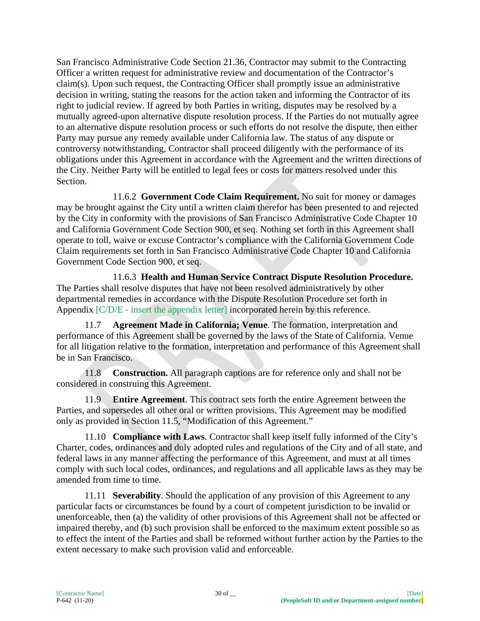San Francisco Administrative Code Section 21.36, Contractor may submit to the Contracting Officer a written request for administrative review and documentation of the Contractor's claim(s). Upon such request, the Contracting Officer shall promptly issue an administrative decision in writing, stating the reasons for the action taken and informing the Contractor of its right to judicial review. If agreed by both Parties in writing, disputes may be resolved by a mutually agreed-upon alternative dispute resolution process. If the Parties do not mutually agree to an alternative dispute resolution process or such efforts do not resolve the dispute, then either Party may pursue any remedy available under California law. The status of any dispute or controversy notwithstanding, Contractor shall proceed diligently with the performance of its obligations under this Agreement in accordance with the Agreement and the written directions of the City. Neither Party will be entitled to legal fees or costs for matters resolved under this Section.

11.6.2 **Government Code Claim Requirement.** No suit for money or damages may be brought against the City until a written claim therefor has been presented to and rejected by the City in conformity with the provisions of San Francisco Administrative Code Chapter 10 and California Government Code Section 900, et seq. Nothing set forth in this Agreement shall operate to toll, waive or excuse Contractor's compliance with the California Government Code Claim requirements set forth in San Francisco Administrative Code Chapter 10 and California Government Code Section 900, et seq.

11.6.3 **Health and Human Service Contract Dispute Resolution Procedure.** The Parties shall resolve disputes that have not been resolved administratively by other departmental remedies in accordance with the Dispute Resolution Procedure set forth in Appendix [C/D/E - insert the appendix letter] incorporated herein by this reference.

11.7 **Agreement Made in California; Venue**. The formation, interpretation and performance of this Agreement shall be governed by the laws of the State of California. Venue for all litigation relative to the formation, interpretation and performance of this Agreement shall be in San Francisco.

11.8 **Construction.** All paragraph captions are for reference only and shall not be considered in construing this Agreement.

11.9 **Entire Agreement**. This contract sets forth the entire Agreement between the Parties, and supersedes all other oral or written provisions. This Agreement may be modified only as provided in Section 11.5, "Modification of this Agreement."

11.10 **Compliance with Laws**. Contractor shall keep itself fully informed of the City's Charter, codes, ordinances and duly adopted rules and regulations of the City and of all state, and federal laws in any manner affecting the performance of this Agreement, and must at all times comply with such local codes, ordinances, and regulations and all applicable laws as they may be amended from time to time.

11.11 **Severability**. Should the application of any provision of this Agreement to any particular facts or circumstances be found by a court of competent jurisdiction to be invalid or unenforceable, then (a) the validity of other provisions of this Agreement shall not be affected or impaired thereby, and (b) such provision shall be enforced to the maximum extent possible so as to effect the intent of the Parties and shall be reformed without further action by the Parties to the extent necessary to make such provision valid and enforceable.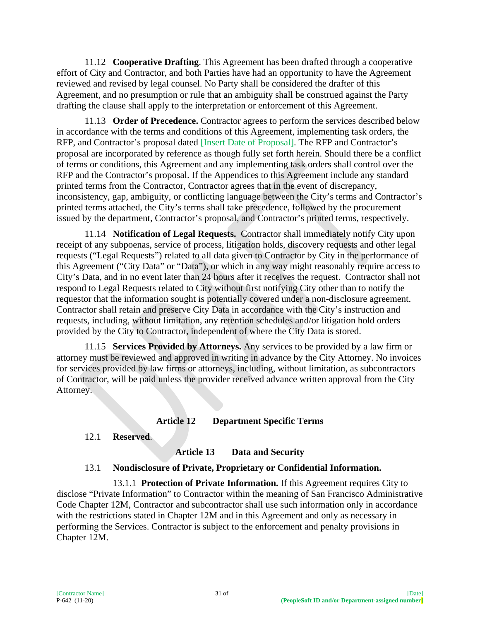11.12 **Cooperative Drafting**. This Agreement has been drafted through a cooperative effort of City and Contractor, and both Parties have had an opportunity to have the Agreement reviewed and revised by legal counsel. No Party shall be considered the drafter of this Agreement, and no presumption or rule that an ambiguity shall be construed against the Party drafting the clause shall apply to the interpretation or enforcement of this Agreement.

11.13 **Order of Precedence.** Contractor agrees to perform the services described below in accordance with the terms and conditions of this Agreement, implementing task orders, the RFP, and Contractor's proposal dated [Insert Date of Proposal]. The RFP and Contractor's proposal are incorporated by reference as though fully set forth herein. Should there be a conflict of terms or conditions, this Agreement and any implementing task orders shall control over the RFP and the Contractor's proposal. If the Appendices to this Agreement include any standard printed terms from the Contractor, Contractor agrees that in the event of discrepancy, inconsistency, gap, ambiguity, or conflicting language between the City's terms and Contractor's printed terms attached, the City's terms shall take precedence, followed by the procurement issued by the department, Contractor's proposal, and Contractor's printed terms, respectively.

11.14 **Notification of Legal Requests.** Contractor shall immediately notify City upon receipt of any subpoenas, service of process, litigation holds, discovery requests and other legal requests ("Legal Requests") related to all data given to Contractor by City in the performance of this Agreement ("City Data" or "Data"), or which in any way might reasonably require access to City's Data, and in no event later than 24 hours after it receives the request. Contractor shall not respond to Legal Requests related to City without first notifying City other than to notify the requestor that the information sought is potentially covered under a non-disclosure agreement. Contractor shall retain and preserve City Data in accordance with the City's instruction and requests, including, without limitation, any retention schedules and/or litigation hold orders provided by the City to Contractor, independent of where the City Data is stored.

11.15 **Services Provided by Attorneys.** Any services to be provided by a law firm or attorney must be reviewed and approved in writing in advance by the City Attorney. No invoices for services provided by law firms or attorneys, including, without limitation, as subcontractors of Contractor, will be paid unless the provider received advance written approval from the City Attorney.

#### **Article 12 Department Specific Terms**

#### 12.1 **Reserved**.

#### **Article 13 Data and Security**

#### 13.1 **Nondisclosure of Private, Proprietary or Confidential Information.**

13.1.1 **Protection of Private Information.** If this Agreement requires City to disclose "Private Information" to Contractor within the meaning of San Francisco Administrative Code Chapter 12M, Contractor and subcontractor shall use such information only in accordance with the restrictions stated in Chapter 12M and in this Agreement and only as necessary in performing the Services. Contractor is subject to the enforcement and penalty provisions in Chapter 12M.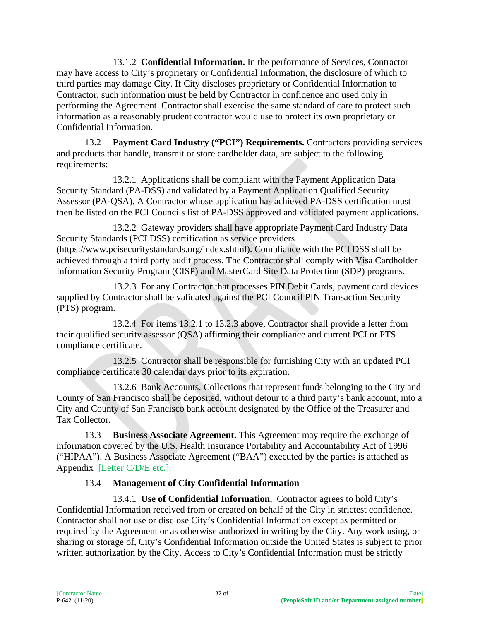13.1.2 **Confidential Information.** In the performance of Services, Contractor may have access to City's proprietary or Confidential Information, the disclosure of which to third parties may damage City. If City discloses proprietary or Confidential Information to Contractor, such information must be held by Contractor in confidence and used only in performing the Agreement. Contractor shall exercise the same standard of care to protect such information as a reasonably prudent contractor would use to protect its own proprietary or Confidential Information.

13.2 **Payment Card Industry ("PCI") Requirements.** Contractors providing services and products that handle, transmit or store cardholder data, are subject to the following requirements:

13.2.1 Applications shall be compliant with the Payment Application Data Security Standard (PA-DSS) and validated by a Payment Application Qualified Security Assessor (PA-QSA). A Contractor whose application has achieved PA-DSS certification must then be listed on the PCI Councils list of PA-DSS approved and validated payment applications.

13.2.2 Gateway providers shall have appropriate Payment Card Industry Data Security Standards (PCI DSS) certification as service providers (https://www.pcisecuritystandards.org/index.shtml). Compliance with the PCI DSS shall be achieved through a third party audit process. The Contractor shall comply with Visa Cardholder Information Security Program (CISP) and MasterCard Site Data Protection (SDP) programs.

13.2.3 For any Contractor that processes PIN Debit Cards, payment card devices supplied by Contractor shall be validated against the PCI Council PIN Transaction Security (PTS) program.

13.2.4 For items 13.2.1 to 13.2.3 above, Contractor shall provide a letter from their qualified security assessor (QSA) affirming their compliance and current PCI or PTS compliance certificate.

13.2.5 Contractor shall be responsible for furnishing City with an updated PCI compliance certificate 30 calendar days prior to its expiration.

13.2.6 Bank Accounts. Collections that represent funds belonging to the City and County of San Francisco shall be deposited, without detour to a third party's bank account, into a City and County of San Francisco bank account designated by the Office of the Treasurer and Tax Collector.

13.3 **Business Associate Agreement.** This Agreement may require the exchange of information covered by the U.S. Health Insurance Portability and Accountability Act of 1996 ("HIPAA"). A Business Associate Agreement ("BAA") executed by the parties is attached as Appendix [Letter C/D/E etc.].

# 13.4 **Management of City Confidential Information**

13.4.1 **Use of Confidential Information.** Contractor agrees to hold City's Confidential Information received from or created on behalf of the City in strictest confidence. Contractor shall not use or disclose City's Confidential Information except as permitted or required by the Agreement or as otherwise authorized in writing by the City. Any work using, or sharing or storage of, City's Confidential Information outside the United States is subject to prior written authorization by the City. Access to City's Confidential Information must be strictly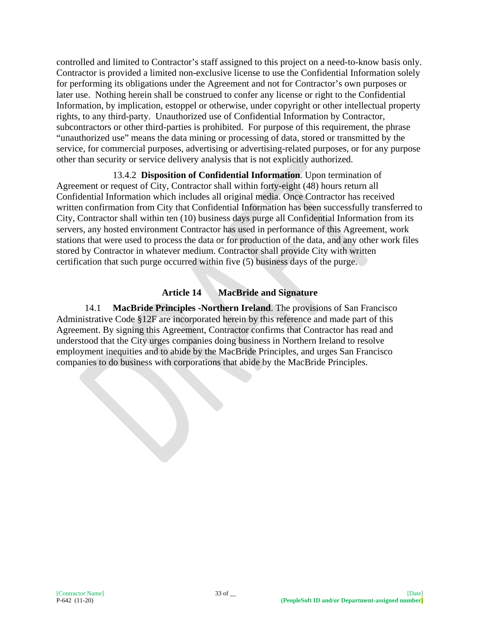controlled and limited to Contractor's staff assigned to this project on a need-to-know basis only. Contractor is provided a limited non-exclusive license to use the Confidential Information solely for performing its obligations under the Agreement and not for Contractor's own purposes or later use. Nothing herein shall be construed to confer any license or right to the Confidential Information, by implication, estoppel or otherwise, under copyright or other intellectual property rights, to any third-party. Unauthorized use of Confidential Information by Contractor, subcontractors or other third-parties is prohibited. For purpose of this requirement, the phrase "unauthorized use" means the data mining or processing of data, stored or transmitted by the service, for commercial purposes, advertising or advertising-related purposes, or for any purpose other than security or service delivery analysis that is not explicitly authorized.

13.4.2 **Disposition of Confidential Information**. Upon termination of Agreement or request of City, Contractor shall within forty-eight (48) hours return all Confidential Information which includes all original media. Once Contractor has received written confirmation from City that Confidential Information has been successfully transferred to City, Contractor shall within ten (10) business days purge all Confidential Information from its servers, any hosted environment Contractor has used in performance of this Agreement, work stations that were used to process the data or for production of the data, and any other work files stored by Contractor in whatever medium. Contractor shall provide City with written certification that such purge occurred within five (5) business days of the purge.

## **Article 14 MacBride and Signature**

14.1 **MacBride Principles -Northern Ireland**. The provisions of San Francisco Administrative Code §12F are incorporated herein by this reference and made part of this Agreement. By signing this Agreement, Contractor confirms that Contractor has read and understood that the City urges companies doing business in Northern Ireland to resolve employment inequities and to abide by the MacBride Principles, and urges San Francisco companies to do business with corporations that abide by the MacBride Principles.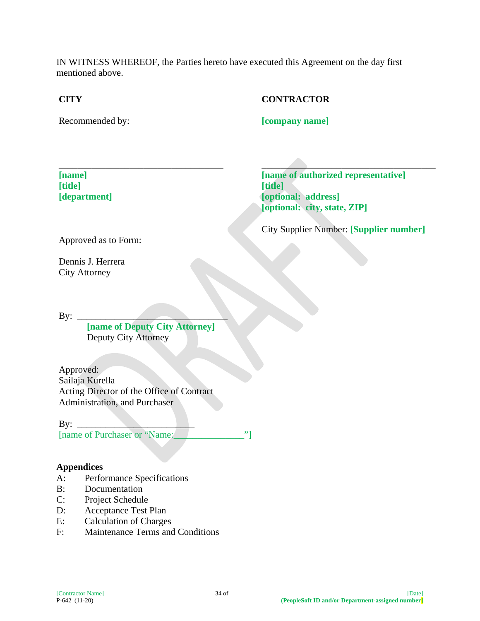IN WITNESS WHEREOF, the Parties hereto have executed this Agreement on the day first mentioned above.

## **CITY**

# **CONTRACTOR**

Recommended by:

**[company name]**

**[name] [title] [department]**

 $\overline{\phantom{a}}$  ,  $\overline{\phantom{a}}$  ,  $\overline{\phantom{a}}$  ,  $\overline{\phantom{a}}$  ,  $\overline{\phantom{a}}$  ,  $\overline{\phantom{a}}$  ,  $\overline{\phantom{a}}$  ,  $\overline{\phantom{a}}$  ,  $\overline{\phantom{a}}$  ,  $\overline{\phantom{a}}$  ,  $\overline{\phantom{a}}$  ,  $\overline{\phantom{a}}$  ,  $\overline{\phantom{a}}$  ,  $\overline{\phantom{a}}$  ,  $\overline{\phantom{a}}$  ,  $\overline{\phantom{a}}$ **[name of authorized representative] [title] [optional: address] [optional: city, state, ZIP]**

City Supplier Number: **[Supplier number]**

Approved as to Form:

Dennis J. Herrera City Attorney

By:

**[name of Deputy City Attorney]** Deputy City Attorney

\_\_\_\_\_\_\_\_\_\_\_\_\_\_\_\_\_\_\_\_\_\_\_\_\_\_\_\_\_\_\_\_\_\_\_

Approved: Sailaja Kurella Acting Director of the Office of Contract Administration, and Purchaser

 $\mathbf{B} \mathbf{v}$ : [name of Purchaser or "Name:\_\_\_\_\_\_\_\_\_\_\_\_\_\_\_"]

#### **Appendices**

- A: Performance Specifications
- B: Documentation
- C: Project Schedule
- D: Acceptance Test Plan
- E: Calculation of Charges
- F: Maintenance Terms and Conditions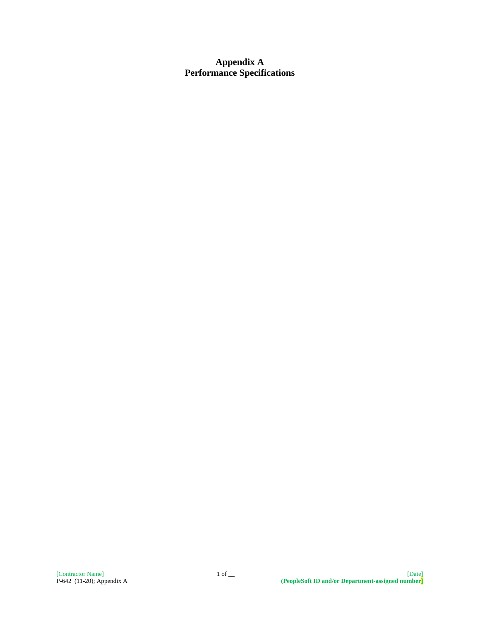### **Appendix A Performance Specifications**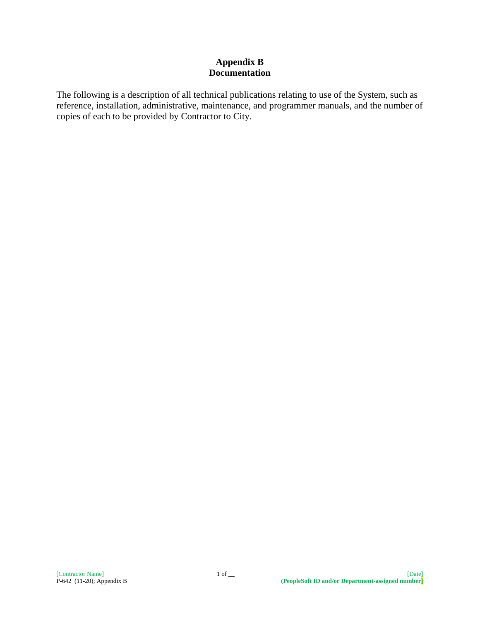#### **Appendix B Documentation**

The following is a description of all technical publications relating to use of the System, such as reference, installation, administrative, maintenance, and programmer manuals, and the number of copies of each to be provided by Contractor to City.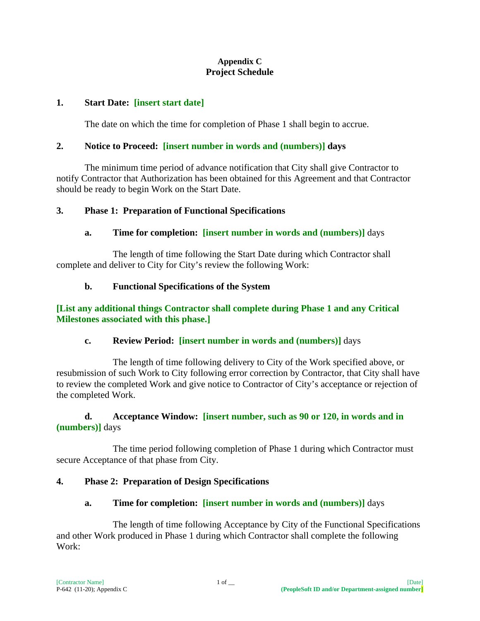#### **Appendix C Project Schedule**

#### **1. Start Date: [insert start date]**

The date on which the time for completion of Phase 1 shall begin to accrue.

### **2. Notice to Proceed: [insert number in words and (numbers)] days**

The minimum time period of advance notification that City shall give Contractor to notify Contractor that Authorization has been obtained for this Agreement and that Contractor should be ready to begin Work on the Start Date.

#### **3. Phase 1: Preparation of Functional Specifications**

#### **a. Time for completion: [insert number in words and (numbers)]** days

The length of time following the Start Date during which Contractor shall complete and deliver to City for City's review the following Work:

#### **b. Functional Specifications of the System**

#### **[List any additional things Contractor shall complete during Phase 1 and any Critical Milestones associated with this phase.]**

#### **c. Review Period: [insert number in words and (numbers)]** days

The length of time following delivery to City of the Work specified above, or resubmission of such Work to City following error correction by Contractor, that City shall have to review the completed Work and give notice to Contractor of City's acceptance or rejection of the completed Work.

#### **d. Acceptance Window: [insert number, such as 90 or 120, in words and in (numbers)]** days

The time period following completion of Phase 1 during which Contractor must secure Acceptance of that phase from City.

#### **4. Phase 2: Preparation of Design Specifications**

#### **a. Time for completion: [insert number in words and (numbers)]** days

The length of time following Acceptance by City of the Functional Specifications and other Work produced in Phase 1 during which Contractor shall complete the following Work: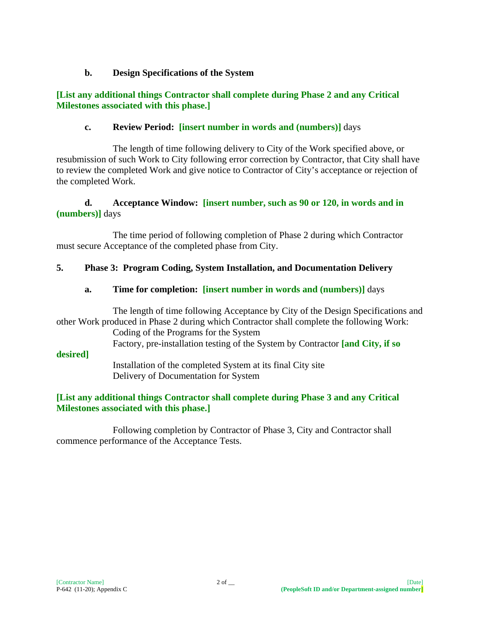## **b. Design Specifications of the System**

## **[List any additional things Contractor shall complete during Phase 2 and any Critical Milestones associated with this phase.]**

# **c. Review Period: [insert number in words and (numbers)]** days

The length of time following delivery to City of the Work specified above, or resubmission of such Work to City following error correction by Contractor, that City shall have to review the completed Work and give notice to Contractor of City's acceptance or rejection of the completed Work.

## **d. Acceptance Window: [insert number, such as 90 or 120, in words and in (numbers)]** days

The time period of following completion of Phase 2 during which Contractor must secure Acceptance of the completed phase from City.

# **5. Phase 3: Program Coding, System Installation, and Documentation Delivery**

# **a. Time for completion: [insert number in words and (numbers)]** days

The length of time following Acceptance by City of the Design Specifications and other Work produced in Phase 2 during which Contractor shall complete the following Work: Coding of the Programs for the System Factory, pre-installation testing of the System by Contractor **[and City, if so** 

**desired]**

Installation of the completed System at its final City site Delivery of Documentation for System

# **[List any additional things Contractor shall complete during Phase 3 and any Critical Milestones associated with this phase.]**

Following completion by Contractor of Phase 3, City and Contractor shall commence performance of the Acceptance Tests.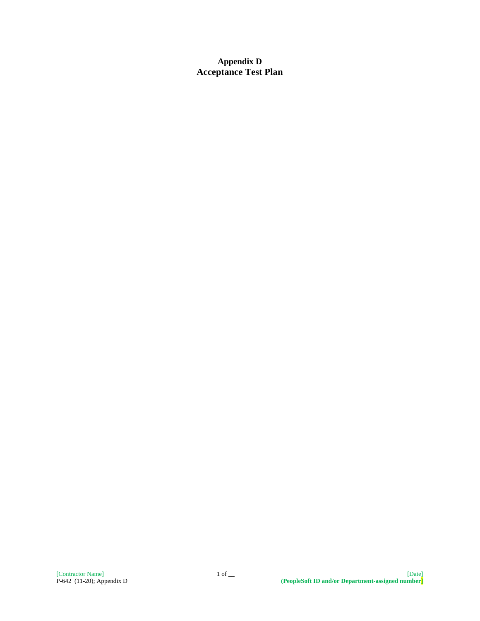**Appendix D Acceptance Test Plan**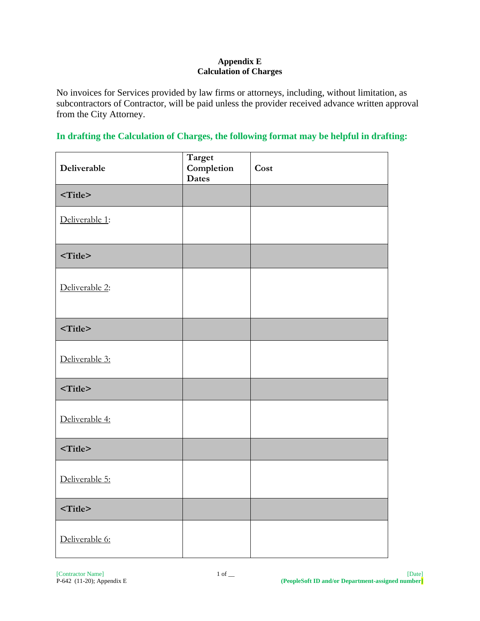#### **Appendix E Calculation of Charges**

No invoices for Services provided by law firms or attorneys, including, without limitation, as subcontractors of Contractor, will be paid unless the provider received advance written approval from the City Attorney.

## **In drafting the Calculation of Charges, the following format may be helpful in drafting:**

| Deliverable    | Target<br>${\bf Completion}$<br><b>Dates</b> | Cost |
|----------------|----------------------------------------------|------|
| $<$ Title $>$  |                                              |      |
| Deliverable 1: |                                              |      |
| $<$ Title $>$  |                                              |      |
| Deliverable 2: |                                              |      |
| $<$ Title $>$  |                                              |      |
| Deliverable 3: |                                              |      |
| $<$ Title>     |                                              |      |
| Deliverable 4: |                                              |      |
| $<$ Title>     |                                              |      |
| Deliverable 5: |                                              |      |
| $<$ Title>     |                                              |      |
| Deliverable 6: |                                              |      |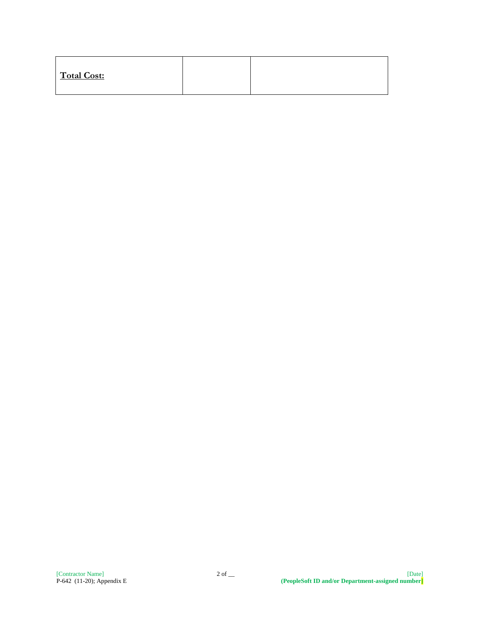| Total Cost: |
|-------------|
|-------------|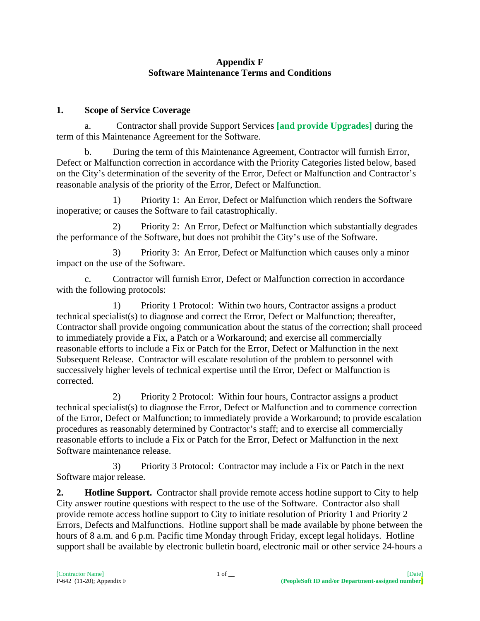#### **Appendix F Software Maintenance Terms and Conditions**

# **1. Scope of Service Coverage**

a. Contractor shall provide Support Services **[and provide Upgrades]** during the term of this Maintenance Agreement for the Software.

b. During the term of this Maintenance Agreement, Contractor will furnish Error, Defect or Malfunction correction in accordance with the Priority Categories listed below, based on the City's determination of the severity of the Error, Defect or Malfunction and Contractor's reasonable analysis of the priority of the Error, Defect or Malfunction.

1) Priority 1: An Error, Defect or Malfunction which renders the Software inoperative; or causes the Software to fail catastrophically.

2) Priority 2: An Error, Defect or Malfunction which substantially degrades the performance of the Software, but does not prohibit the City's use of the Software.

3) Priority 3: An Error, Defect or Malfunction which causes only a minor impact on the use of the Software.

Contractor will furnish Error, Defect or Malfunction correction in accordance with the following protocols:

1) Priority 1 Protocol: Within two hours, Contractor assigns a product technical specialist(s) to diagnose and correct the Error, Defect or Malfunction; thereafter, Contractor shall provide ongoing communication about the status of the correction; shall proceed to immediately provide a Fix, a Patch or a Workaround; and exercise all commercially reasonable efforts to include a Fix or Patch for the Error, Defect or Malfunction in the next Subsequent Release. Contractor will escalate resolution of the problem to personnel with successively higher levels of technical expertise until the Error, Defect or Malfunction is corrected.

2) Priority 2 Protocol: Within four hours, Contractor assigns a product technical specialist(s) to diagnose the Error, Defect or Malfunction and to commence correction of the Error, Defect or Malfunction; to immediately provide a Workaround; to provide escalation procedures as reasonably determined by Contractor's staff; and to exercise all commercially reasonable efforts to include a Fix or Patch for the Error, Defect or Malfunction in the next Software maintenance release.

3) Priority 3 Protocol: Contractor may include a Fix or Patch in the next Software major release.

**2. Hotline Support.** Contractor shall provide remote access hotline support to City to help City answer routine questions with respect to the use of the Software. Contractor also shall provide remote access hotline support to City to initiate resolution of Priority 1 and Priority 2 Errors, Defects and Malfunctions. Hotline support shall be made available by phone between the hours of 8 a.m. and 6 p.m. Pacific time Monday through Friday, except legal holidays. Hotline support shall be available by electronic bulletin board, electronic mail or other service 24-hours a